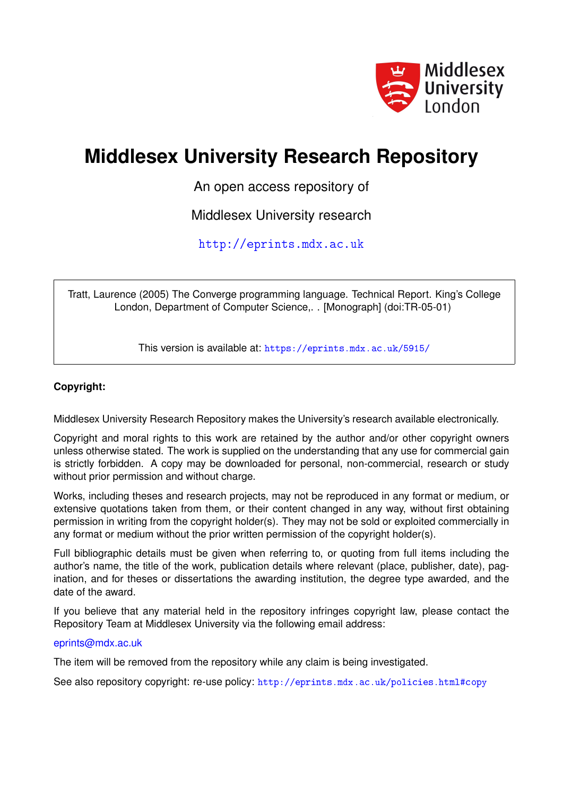

# **Middlesex University Research Repository**

An open access repository of

Middlesex University research

<http://eprints.mdx.ac.uk>

Tratt, Laurence (2005) The Converge programming language. Technical Report. King's College London, Department of Computer Science,. . [Monograph] (doi:TR-05-01)

This version is available at: <https://eprints.mdx.ac.uk/5915/>

### **Copyright:**

Middlesex University Research Repository makes the University's research available electronically.

Copyright and moral rights to this work are retained by the author and/or other copyright owners unless otherwise stated. The work is supplied on the understanding that any use for commercial gain is strictly forbidden. A copy may be downloaded for personal, non-commercial, research or study without prior permission and without charge.

Works, including theses and research projects, may not be reproduced in any format or medium, or extensive quotations taken from them, or their content changed in any way, without first obtaining permission in writing from the copyright holder(s). They may not be sold or exploited commercially in any format or medium without the prior written permission of the copyright holder(s).

Full bibliographic details must be given when referring to, or quoting from full items including the author's name, the title of the work, publication details where relevant (place, publisher, date), pagination, and for theses or dissertations the awarding institution, the degree type awarded, and the date of the award.

If you believe that any material held in the repository infringes copyright law, please contact the Repository Team at Middlesex University via the following email address:

### [eprints@mdx.ac.uk](mailto:eprints@mdx.ac.uk)

The item will be removed from the repository while any claim is being investigated.

See also repository copyright: re-use policy: <http://eprints.mdx.ac.uk/policies.html#copy>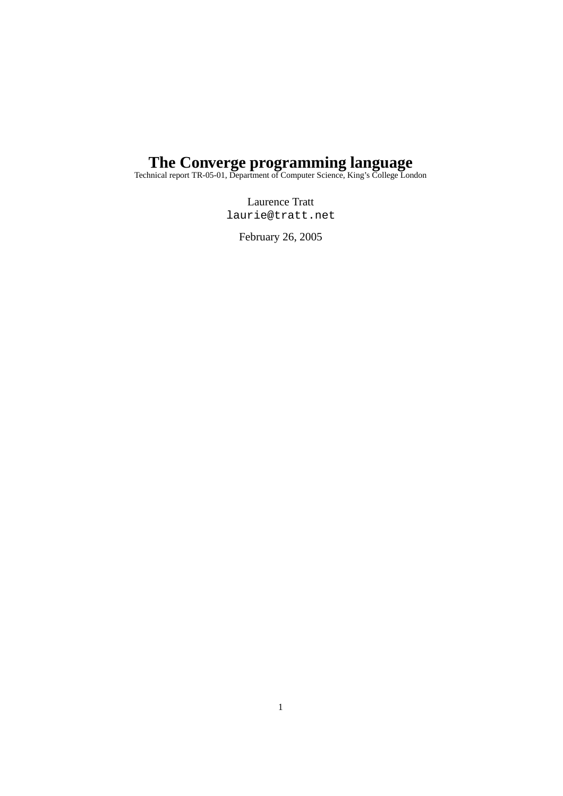# **The Converge programming language**

Technical report TR-05-01, Department of Computer Science, King's College London

Laurence Tratt laurie@tratt.net

February 26, 2005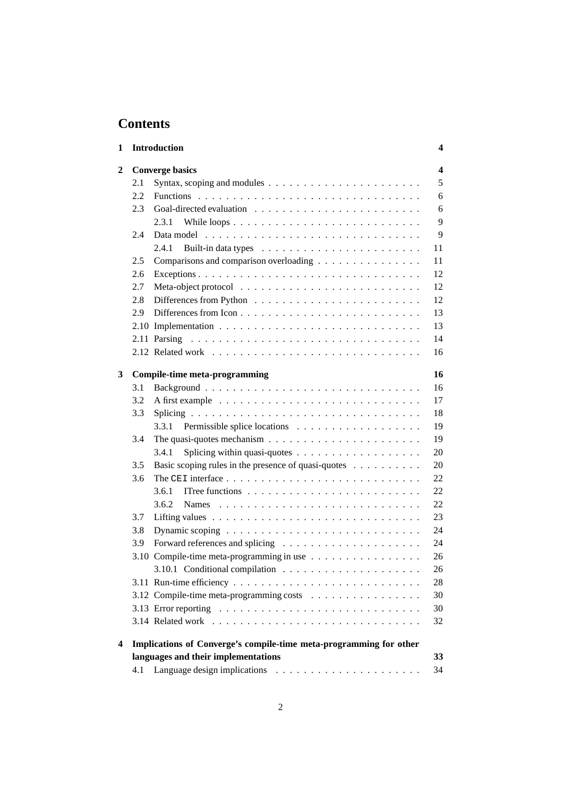# **Contents**

| 1 | <b>Introduction</b>    |                                                                             |    |  |  |  |
|---|------------------------|-----------------------------------------------------------------------------|----|--|--|--|
| 2 | <b>Converge basics</b> |                                                                             |    |  |  |  |
|   | 2.1                    |                                                                             | 5  |  |  |  |
|   | 2.2                    |                                                                             | 6  |  |  |  |
|   | 2.3                    |                                                                             | 6  |  |  |  |
|   |                        | 2.3.1                                                                       | 9  |  |  |  |
|   | 2.4                    |                                                                             | 9  |  |  |  |
|   |                        | 2.4.1                                                                       | 11 |  |  |  |
|   | 2.5                    | Comparisons and comparison overloading                                      | 11 |  |  |  |
|   | 2.6                    |                                                                             | 12 |  |  |  |
|   | 2.7                    |                                                                             | 12 |  |  |  |
|   | 2.8                    |                                                                             | 12 |  |  |  |
|   | 2.9                    |                                                                             | 13 |  |  |  |
|   |                        |                                                                             | 13 |  |  |  |
|   |                        |                                                                             | 14 |  |  |  |
|   |                        |                                                                             | 16 |  |  |  |
| 3 |                        | Compile-time meta-programming                                               | 16 |  |  |  |
|   | 3.1                    |                                                                             | 16 |  |  |  |
|   | 3.2                    |                                                                             | 17 |  |  |  |
|   | 3.3                    |                                                                             | 18 |  |  |  |
|   |                        | 3.3.1                                                                       | 19 |  |  |  |
|   | 3.4                    |                                                                             | 19 |  |  |  |
|   |                        |                                                                             | 20 |  |  |  |
|   |                        | Splicing within quasi-quotes $\dots \dots \dots \dots \dots \dots$<br>3.4.1 |    |  |  |  |
|   | 3.5                    | Basic scoping rules in the presence of quasi-quotes                         | 20 |  |  |  |
|   | 3.6                    |                                                                             | 22 |  |  |  |
|   |                        | 3.6.1                                                                       | 22 |  |  |  |
|   |                        | 3.6.2                                                                       | 22 |  |  |  |
|   | 3.7                    |                                                                             | 23 |  |  |  |
|   | 3.8                    |                                                                             | 24 |  |  |  |
|   | 3.9                    |                                                                             | 24 |  |  |  |
|   |                        | 3.10 Compile-time meta-programming in use                                   | 26 |  |  |  |
|   |                        |                                                                             | 26 |  |  |  |
|   |                        |                                                                             | 28 |  |  |  |
|   |                        | 3.12 Compile-time meta-programming costs                                    | 30 |  |  |  |
|   |                        |                                                                             | 30 |  |  |  |
|   |                        |                                                                             | 32 |  |  |  |
| 4 |                        | Implications of Converge's compile-time meta-programming for other          |    |  |  |  |
|   |                        | languages and their implementations                                         | 33 |  |  |  |
|   | 4.1                    |                                                                             | 34 |  |  |  |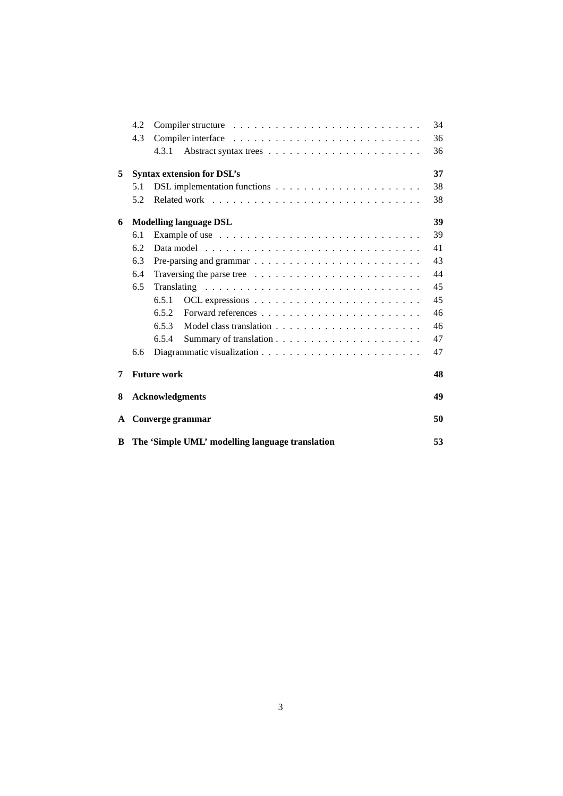|   | 4.2                                             |                                                                                                                                                                                                                               | 34 |  |  |  |  |  |  |
|---|-------------------------------------------------|-------------------------------------------------------------------------------------------------------------------------------------------------------------------------------------------------------------------------------|----|--|--|--|--|--|--|
|   | 4.3                                             |                                                                                                                                                                                                                               | 36 |  |  |  |  |  |  |
|   |                                                 | 4.3.1                                                                                                                                                                                                                         | 36 |  |  |  |  |  |  |
| 5 | <b>Syntax extension for DSL's</b>               |                                                                                                                                                                                                                               |    |  |  |  |  |  |  |
|   | 5.1                                             |                                                                                                                                                                                                                               | 38 |  |  |  |  |  |  |
|   | 5.2                                             | Related work responses in the contract of the contract of the contract of the contract of the contract of the contract of the contract of the contract of the contract of the contract of the contract of the contract of the | 38 |  |  |  |  |  |  |
| 6 | <b>Modelling language DSL</b>                   |                                                                                                                                                                                                                               |    |  |  |  |  |  |  |
|   | 6.1                                             |                                                                                                                                                                                                                               | 39 |  |  |  |  |  |  |
|   | 6.2                                             |                                                                                                                                                                                                                               | 41 |  |  |  |  |  |  |
|   | 6.3                                             |                                                                                                                                                                                                                               | 43 |  |  |  |  |  |  |
|   | 6.4                                             | Traversing the parse tree $\dots \dots \dots \dots \dots \dots \dots \dots \dots$                                                                                                                                             | 44 |  |  |  |  |  |  |
|   | 6.5                                             |                                                                                                                                                                                                                               | 45 |  |  |  |  |  |  |
|   |                                                 | 6.5.1                                                                                                                                                                                                                         | 45 |  |  |  |  |  |  |
|   |                                                 | 6.5.2                                                                                                                                                                                                                         | 46 |  |  |  |  |  |  |
|   |                                                 | 6.5.3                                                                                                                                                                                                                         | 46 |  |  |  |  |  |  |
|   |                                                 | 6.5.4                                                                                                                                                                                                                         | 47 |  |  |  |  |  |  |
|   | 6.6                                             |                                                                                                                                                                                                                               | 47 |  |  |  |  |  |  |
| 7 |                                                 | <b>Future work</b>                                                                                                                                                                                                            | 48 |  |  |  |  |  |  |
| 8 | <b>Acknowledgments</b>                          |                                                                                                                                                                                                                               |    |  |  |  |  |  |  |
| A | Converge grammar                                |                                                                                                                                                                                                                               |    |  |  |  |  |  |  |
| B | The 'Simple UML' modelling language translation |                                                                                                                                                                                                                               |    |  |  |  |  |  |  |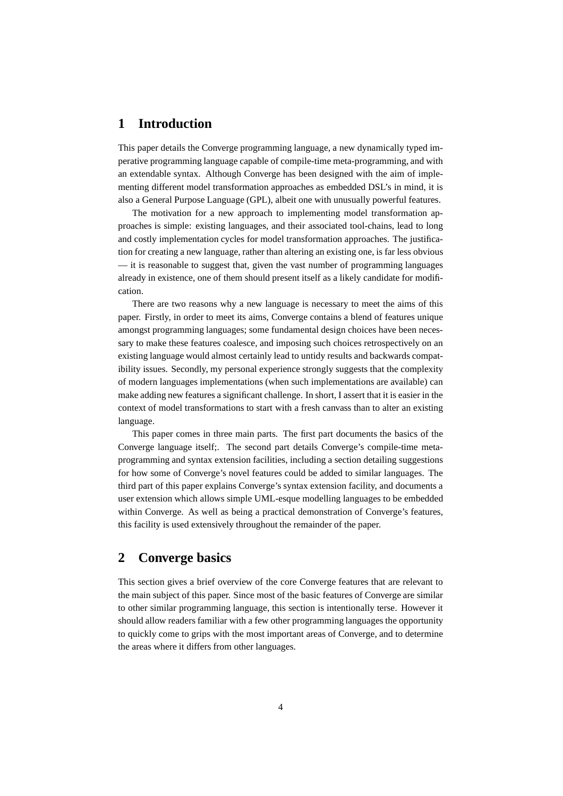### **1 Introduction**

This paper details the Converge programming language, a new dynamically typed imperative programming language capable of compile-time meta-programming, and with an extendable syntax. Although Converge has been designed with the aim of implementing different model transformation approaches as embedded DSL's in mind, it is also a General Purpose Language (GPL), albeit one with unusually powerful features.

The motivation for a new approach to implementing model transformation approaches is simple: existing languages, and their associated tool-chains, lead to long and costly implementation cycles for model transformation approaches. The justification for creating a new language, rather than altering an existing one, is far less obvious — it is reasonable to suggest that, given the vast number of programming languages already in existence, one of them should present itself as a likely candidate for modification.

There are two reasons why a new language is necessary to meet the aims of this paper. Firstly, in order to meet its aims, Converge contains a blend of features unique amongst programming languages; some fundamental design choices have been necessary to make these features coalesce, and imposing such choices retrospectively on an existing language would almost certainly lead to untidy results and backwards compatibility issues. Secondly, my personal experience strongly suggests that the complexity of modern languages implementations (when such implementations are available) can make adding new features a significant challenge. In short, I assert that it is easier in the context of model transformations to start with a fresh canvass than to alter an existing language.

This paper comes in three main parts. The first part documents the basics of the Converge language itself;. The second part details Converge's compile-time metaprogramming and syntax extension facilities, including a section detailing suggestions for how some of Converge's novel features could be added to similar languages. The third part of this paper explains Converge's syntax extension facility, and documents a user extension which allows simple UML-esque modelling languages to be embedded within Converge. As well as being a practical demonstration of Converge's features, this facility is used extensively throughout the remainder of the paper.

### **2 Converge basics**

This section gives a brief overview of the core Converge features that are relevant to the main subject of this paper. Since most of the basic features of Converge are similar to other similar programming language, this section is intentionally terse. However it should allow readers familiar with a few other programming languages the opportunity to quickly come to grips with the most important areas of Converge, and to determine the areas where it differs from other languages.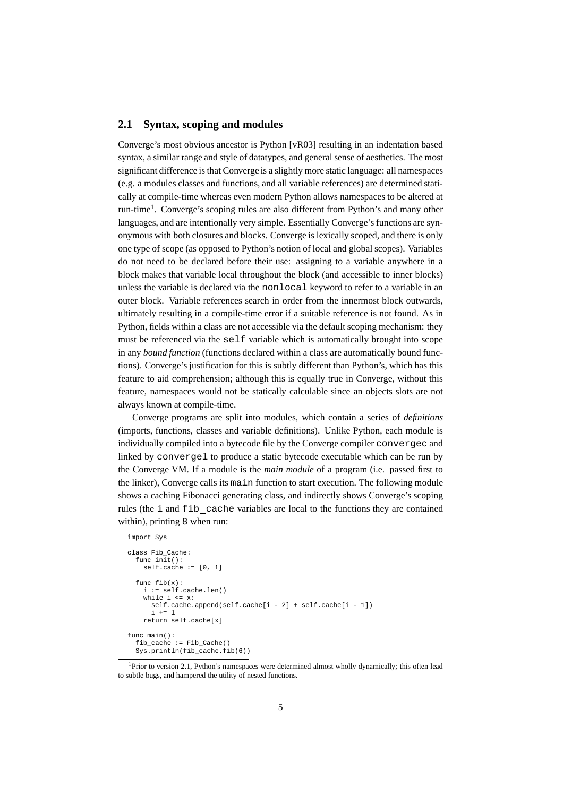#### **2.1 Syntax, scoping and modules**

Converge's most obvious ancestor is Python [vR03] resulting in an indentation based syntax, a similar range and style of datatypes, and general sense of aesthetics. The most significant difference is that Converge is a slightly more static language: all namespaces (e.g. a modules classes and functions, and all variable references) are determined statically at compile-time whereas even modern Python allows namespaces to be altered at run-time<sup>1</sup>. Converge's scoping rules are also different from Python's and many other languages, and are intentionally very simple. Essentially Converge's functions are synonymous with both closures and blocks. Converge is lexically scoped, and there is only one type of scope (as opposed to Python's notion of local and global scopes). Variables do not need to be declared before their use: assigning to a variable anywhere in a block makes that variable local throughout the block (and accessible to inner blocks) unless the variable is declared via the nonlocal keyword to refer to a variable in an outer block. Variable references search in order from the innermost block outwards, ultimately resulting in a compile-time error if a suitable reference is not found. As in Python, fields within a class are not accessible via the default scoping mechanism: they must be referenced via the self variable which is automatically brought into scope in any *bound function* (functions declared within a class are automatically bound functions). Converge's justification for this is subtly different than Python's, which has this feature to aid comprehension; although this is equally true in Converge, without this feature, namespaces would not be statically calculable since an objects slots are not always known at compile-time.

Converge programs are split into modules, which contain a series of *definitions* (imports, functions, classes and variable definitions). Unlike Python, each module is individually compiled into a bytecode file by the Converge compiler convergec and linked by convergel to produce a static bytecode executable which can be run by the Converge VM. If a module is the *main module* of a program (i.e. passed first to the linker), Converge calls its main function to start execution. The following module shows a caching Fibonacci generating class, and indirectly shows Converge's scoping rules (the i and fib cache variables are local to the functions they are contained within), printing 8 when run:

#### import Sys

```
class Fib_Cache:
  func init():
    self.cache := [0, 1]func fib(x):
    i := self.cache.len()
    while i <= x:
      self.cache.append(self.cache[i - 2] + self.cache[i - 1])
      i + = 1return self.cache[x]
func main():
  fib_cache := Fib_Cache()
  Sys.println(fib_cache.fib(6))
```
<sup>&</sup>lt;sup>1</sup>Prior to version 2.1, Python's namespaces were determined almost wholly dynamically; this often lead to subtle bugs, and hampered the utility of nested functions.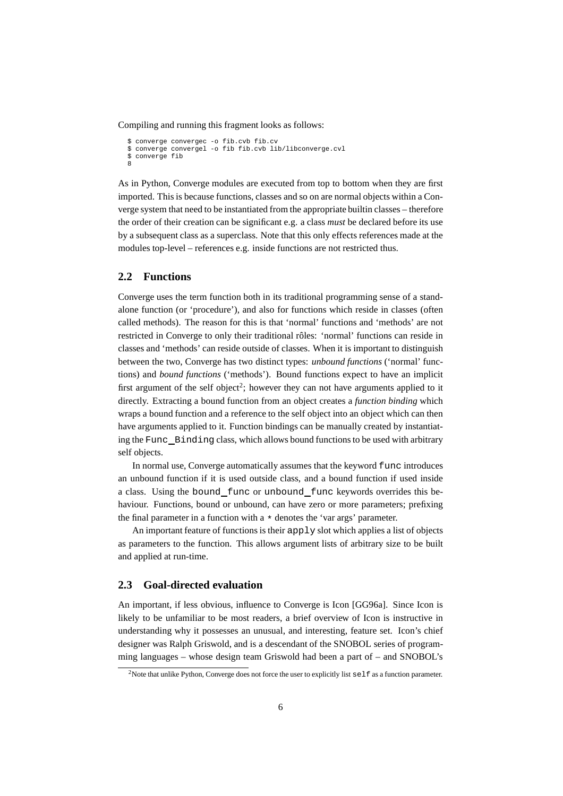Compiling and running this fragment looks as follows:

```
$ converge convergec -o fib.cvb fib.cv
$ converge convergel -o fib fib.cvb lib/libconverge.cvl
$ converge fib
8
```
As in Python, Converge modules are executed from top to bottom when they are first imported. This is because functions, classes and so on are normal objects within a Converge system that need to be instantiated from the appropriate builtin classes – therefore the order of their creation can be significant e.g. a class *must* be declared before its use by a subsequent class as a superclass. Note that this only effects references made at the modules top-level – references e.g. inside functions are not restricted thus.

#### **2.2 Functions**

Converge uses the term function both in its traditional programming sense of a standalone function (or 'procedure'), and also for functions which reside in classes (often called methods). The reason for this is that 'normal' functions and 'methods' are not restricted in Converge to only their traditional rôles: 'normal' functions can reside in classes and 'methods' can reside outside of classes. When it is important to distinguish between the two, Converge has two distinct types: *unbound functions* ('normal' functions) and *bound functions* ('methods'). Bound functions expect to have an implicit first argument of the self object<sup>2</sup>; however they can not have arguments applied to it directly. Extracting a bound function from an object creates a *function binding* which wraps a bound function and a reference to the self object into an object which can then have arguments applied to it. Function bindings can be manually created by instantiating the Func\_Binding class, which allows bound functions to be used with arbitrary self objects.

In normal use, Converge automatically assumes that the keyword func introduces an unbound function if it is used outside class, and a bound function if used inside a class. Using the bound func or unbound func keywords overrides this behaviour. Functions, bound or unbound, can have zero or more parameters; prefixing the final parameter in a function with  $a \star$  denotes the 'var args' parameter.

An important feature of functions is their apply slot which applies a list of objects as parameters to the function. This allows argument lists of arbitrary size to be built and applied at run-time.

#### **2.3 Goal-directed evaluation**

An important, if less obvious, influence to Converge is Icon [GG96a]. Since Icon is likely to be unfamiliar to be most readers, a brief overview of Icon is instructive in understanding why it possesses an unusual, and interesting, feature set. Icon's chief designer was Ralph Griswold, and is a descendant of the SNOBOL series of programming languages – whose design team Griswold had been a part of – and SNOBOL's

<sup>&</sup>lt;sup>2</sup>Note that unlike Python, Converge does not force the user to explicitly list  $\text{self}$  as a function parameter.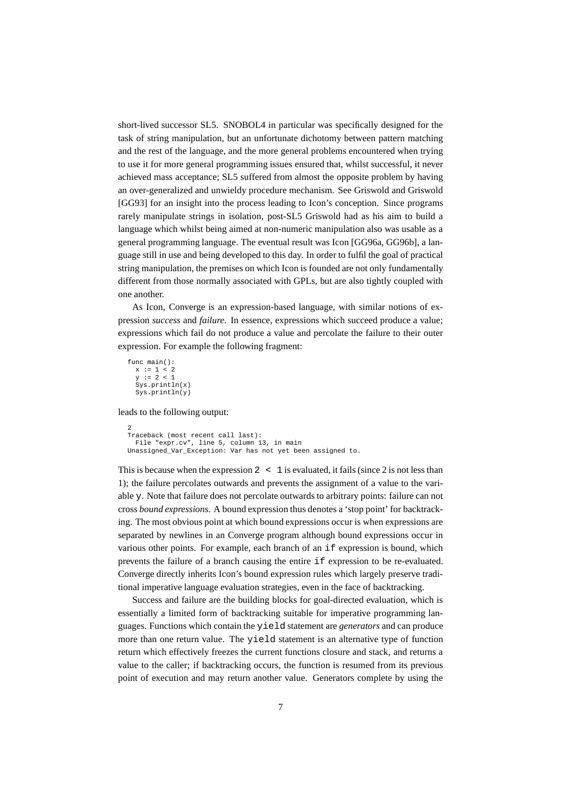short-lived successor SL5. SNOBOL4 in particular was specifically designed for the task of string manipulation, but an unfortunate dichotomy between pattern matching and the rest of the language, and the more general problems encountered when trying to use it for more general programming issues ensured that, whilst successful, it never achieved mass acceptance; SL5 suffered from almost the opposite problem by having an over-generalized and unwieldy procedure mechanism. See Griswold and Griswold [GG93] for an insight into the process leading to Icon's conception. Since programs rarely manipulate strings in isolation, post-SL5 Griswold had as his aim to build a language which whilst being aimed at non-numeric manipulation also was usable as a general programming language. The eventual result was Icon [GG96a, GG96b], a language still in use and being developed to this day. In order to fulfil the goal of practical string manipulation, the premises on which Icon is founded are not only fundamentally different from those normally associated with GPLs, but are also tightly coupled with one another.

As Icon, Converge is an expression-based language, with similar notions of expression *success* and *failure*. In essence, expressions which succeed produce a value; expressions which fail do not produce a value and percolate the failure to their outer expression. For example the following fragment:

```
func main():
  x := 1 < 2y := 2 < 1Sys.println(x)
 Sys.println(y)
```
leads to the following output:

```
2
Traceback (most recent call last):
 File "expr.cv", line 5, column 13, in main
Unassigned_Var_Exception: Var has not yet been assigned to.
```
This is because when the expression  $2 < 1$  is evaluated, it fails (since 2 is not less than 1); the failure percolates outwards and prevents the assignment of a value to the variable y. Note that failure does not percolate outwards to arbitrary points: failure can not cross *bound expressions*. A bound expression thus denotes a 'stop point' for backtracking. The most obvious point at which bound expressions occur is when expressions are separated by newlines in an Converge program although bound expressions occur in various other points. For example, each branch of an if expression is bound, which prevents the failure of a branch causing the entire if expression to be re-evaluated. Converge directly inherits Icon's bound expression rules which largely preserve traditional imperative language evaluation strategies, even in the face of backtracking.

Success and failure are the building blocks for goal-directed evaluation, which is essentially a limited form of backtracking suitable for imperative programming languages. Functions which contain the yield statement are *generators* and can produce more than one return value. The yield statement is an alternative type of function return which effectively freezes the current functions closure and stack, and returns a value to the caller; if backtracking occurs, the function is resumed from its previous point of execution and may return another value. Generators complete by using the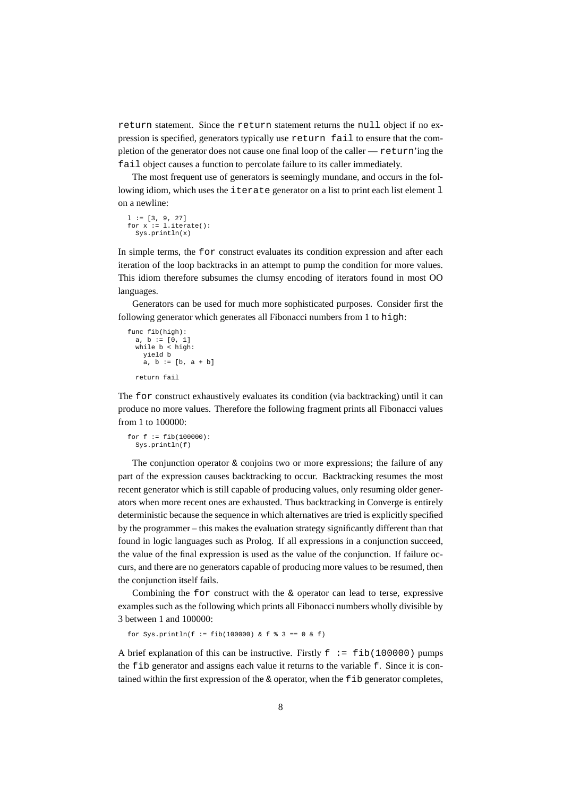return statement. Since the return statement returns the null object if no expression is specified, generators typically use return fail to ensure that the completion of the generator does not cause one final loop of the caller — return'ing the fail object causes a function to percolate failure to its caller immediately.

The most frequent use of generators is seemingly mundane, and occurs in the following idiom, which uses the iterate generator on a list to print each list element l on a newline:

```
l := [3, 9, 27]
for x := l.iterate():
  Sys.println(x)
```
In simple terms, the for construct evaluates its condition expression and after each iteration of the loop backtracks in an attempt to pump the condition for more values. This idiom therefore subsumes the clumsy encoding of iterators found in most OO languages.

Generators can be used for much more sophisticated purposes. Consider first the following generator which generates all Fibonacci numbers from 1 to high:

```
func fib(high):
 a, b := [0, 1]while b < high:
   yield b
   a, b := [b, a + b]return fail
```
The for construct exhaustively evaluates its condition (via backtracking) until it can produce no more values. Therefore the following fragment prints all Fibonacci values from 1 to 100000:

```
for f := fib(100000):
 Sys.println(f)
```
The conjunction operator  $\&$  conjoins two or more expressions; the failure of any part of the expression causes backtracking to occur. Backtracking resumes the most recent generator which is still capable of producing values, only resuming older generators when more recent ones are exhausted. Thus backtracking in Converge is entirely deterministic because the sequence in which alternatives are tried is explicitly specified by the programmer – this makes the evaluation strategy significantly different than that found in logic languages such as Prolog. If all expressions in a conjunction succeed, the value of the final expression is used as the value of the conjunction. If failure occurs, and there are no generators capable of producing more values to be resumed, then the conjunction itself fails.

Combining the for construct with the  $\&$  operator can lead to terse, expressive examples such as the following which prints all Fibonacci numbers wholly divisible by 3 between 1 and 100000:

```
for Sys.println(f := fib(100000) & f $3 == 0 & f)
```
A brief explanation of this can be instructive. Firstly  $f := fib(100000)$  pumps the fib generator and assigns each value it returns to the variable f. Since it is contained within the first expression of the  $\&$  operator, when the fib generator completes.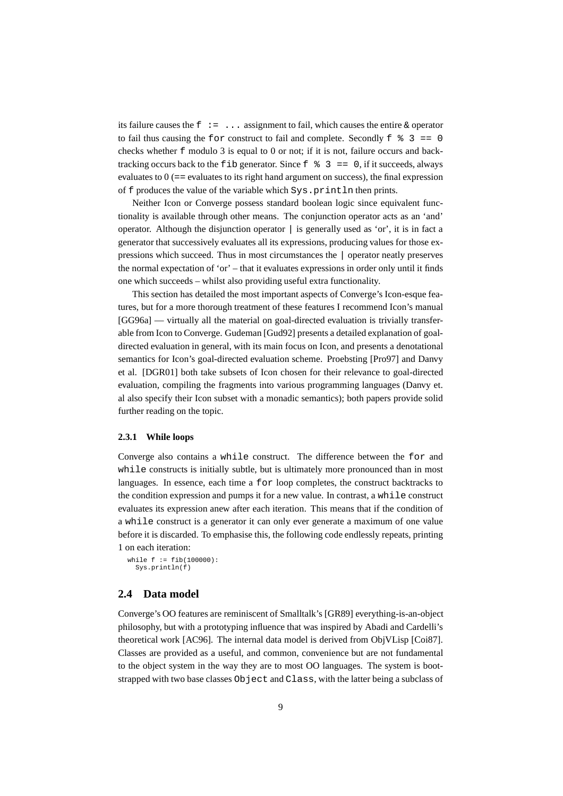its failure causes the  $f : = \ldots$  assignment to fail, which causes the entire  $\&$  operator to fail thus causing the for construct to fail and complete. Secondly  $f \approx 3 == 0$ checks whether f modulo 3 is equal to 0 or not; if it is not, failure occurs and backtracking occurs back to the f i b generator. Since  $f \approx 3 == 0$ , if it succeeds, always evaluates to  $0$  (== evaluates to its right hand argument on success), the final expression of f produces the value of the variable which Sys.println then prints.

Neither Icon or Converge possess standard boolean logic since equivalent functionality is available through other means. The conjunction operator acts as an 'and' operator. Although the disjunction operator  $\vert$  is generally used as 'or', it is in fact a generator that successively evaluates all its expressions, producing values for those expressions which succeed. Thus in most circumstances the | operator neatly preserves the normal expectation of 'or' – that it evaluates expressions in order only until it finds one which succeeds – whilst also providing useful extra functionality.

This section has detailed the most important aspects of Converge's Icon-esque features, but for a more thorough treatment of these features I recommend Icon's manual [GG96a] — virtually all the material on goal-directed evaluation is trivially transferable from Icon to Converge. Gudeman [Gud92] presents a detailed explanation of goaldirected evaluation in general, with its main focus on Icon, and presents a denotational semantics for Icon's goal-directed evaluation scheme. Proebsting [Pro97] and Danvy et al. [DGR01] both take subsets of Icon chosen for their relevance to goal-directed evaluation, compiling the fragments into various programming languages (Danvy et. al also specify their Icon subset with a monadic semantics); both papers provide solid further reading on the topic.

#### **2.3.1 While loops**

Converge also contains a while construct. The difference between the for and while constructs is initially subtle, but is ultimately more pronounced than in most languages. In essence, each time a for loop completes, the construct backtracks to the condition expression and pumps it for a new value. In contrast, a while construct evaluates its expression anew after each iteration. This means that if the condition of a while construct is a generator it can only ever generate a maximum of one value before it is discarded. To emphasise this, the following code endlessly repeats, printing 1 on each iteration:

```
while f := fib(100000):
 Sys.println(f)
```
#### **2.4 Data model**

Converge's OO features are reminiscent of Smalltalk's [GR89] everything-is-an-object philosophy, but with a prototyping influence that was inspired by Abadi and Cardelli's theoretical work [AC96]. The internal data model is derived from ObjVLisp [Coi87]. Classes are provided as a useful, and common, convenience but are not fundamental to the object system in the way they are to most OO languages. The system is bootstrapped with two base classes Object and Class, with the latter being a subclass of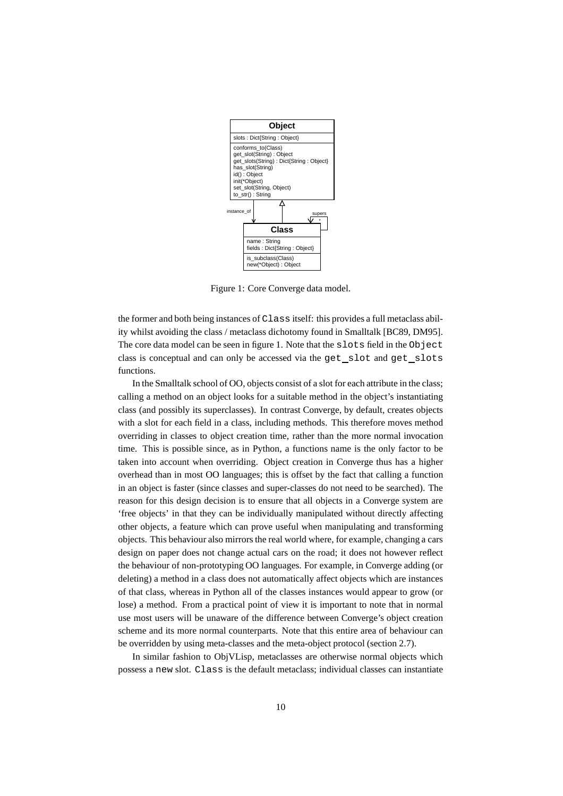

Figure 1: Core Converge data model.

the former and both being instances of Class itself: this provides a full metaclass ability whilst avoiding the class / metaclass dichotomy found in Smalltalk [BC89, DM95]. The core data model can be seen in figure 1. Note that the slots field in the Object class is conceptual and can only be accessed via the get slot and get slots functions.

In the Smalltalk school of OO, objects consist of a slot for each attribute in the class; calling a method on an object looks for a suitable method in the object's instantiating class (and possibly its superclasses). In contrast Converge, by default, creates objects with a slot for each field in a class, including methods. This therefore moves method overriding in classes to object creation time, rather than the more normal invocation time. This is possible since, as in Python, a functions name is the only factor to be taken into account when overriding. Object creation in Converge thus has a higher overhead than in most OO languages; this is offset by the fact that calling a function in an object is faster (since classes and super-classes do not need to be searched). The reason for this design decision is to ensure that all objects in a Converge system are 'free objects' in that they can be individually manipulated without directly affecting other objects, a feature which can prove useful when manipulating and transforming objects. This behaviour also mirrors the real world where, for example, changing a cars design on paper does not change actual cars on the road; it does not however reflect the behaviour of non-prototyping OO languages. For example, in Converge adding (or deleting) a method in a class does not automatically affect objects which are instances of that class, whereas in Python all of the classes instances would appear to grow (or lose) a method. From a practical point of view it is important to note that in normal use most users will be unaware of the difference between Converge's object creation scheme and its more normal counterparts. Note that this entire area of behaviour can be overridden by using meta-classes and the meta-object protocol (section 2.7).

In similar fashion to ObjVLisp, metaclasses are otherwise normal objects which possess a new slot. Class is the default metaclass; individual classes can instantiate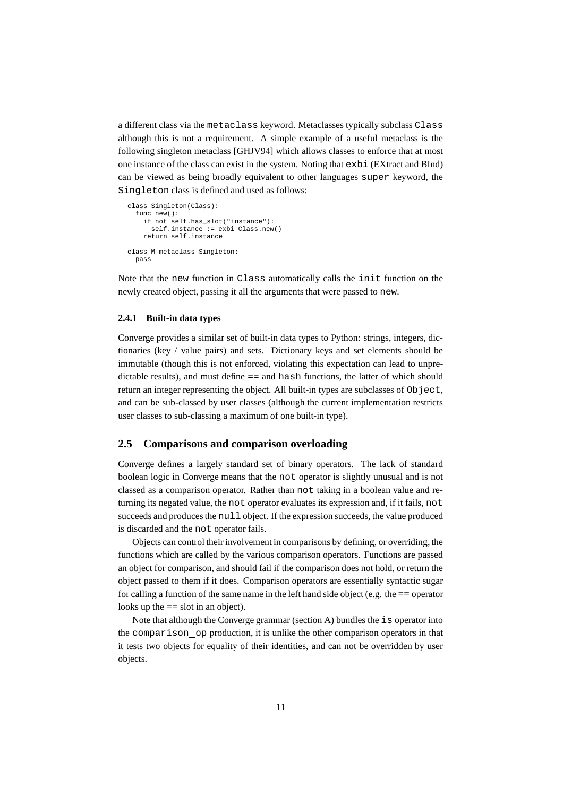a different class via the metaclass keyword. Metaclasses typically subclass Class although this is not a requirement. A simple example of a useful metaclass is the following singleton metaclass [GHJV94] which allows classes to enforce that at most one instance of the class can exist in the system. Noting that exbi (EXtract and BInd) can be viewed as being broadly equivalent to other languages super keyword, the Singleton class is defined and used as follows:

```
class Singleton(Class):
 func new():
   if not self.has_slot("instance"):
     self.instance := exbi Class.new()
   return self.instance
class M metaclass Singleton:
 pass
```
Note that the new function in Class automatically calls the init function on the newly created object, passing it all the arguments that were passed to new.

#### **2.4.1 Built-in data types**

Converge provides a similar set of built-in data types to Python: strings, integers, dictionaries (key / value pairs) and sets. Dictionary keys and set elements should be immutable (though this is not enforced, violating this expectation can lead to unpredictable results), and must define == and hash functions, the latter of which should return an integer representing the object. All built-in types are subclasses of Object, and can be sub-classed by user classes (although the current implementation restricts user classes to sub-classing a maximum of one built-in type).

#### **2.5 Comparisons and comparison overloading**

Converge defines a largely standard set of binary operators. The lack of standard boolean logic in Converge means that the not operator is slightly unusual and is not classed as a comparison operator. Rather than not taking in a boolean value and returning its negated value, the not operator evaluates its expression and, if it fails, not succeeds and produces the null object. If the expression succeeds, the value produced is discarded and the not operator fails.

Objects can control their involvement in comparisons by defining, or overriding, the functions which are called by the various comparison operators. Functions are passed an object for comparison, and should fail if the comparison does not hold, or return the object passed to them if it does. Comparison operators are essentially syntactic sugar for calling a function of the same name in the left hand side object (e.g. the == operator looks up the  $=$  slot in an object).

Note that although the Converge grammar (section A) bundles the is operator into the comparison op production, it is unlike the other comparison operators in that it tests two objects for equality of their identities, and can not be overridden by user objects.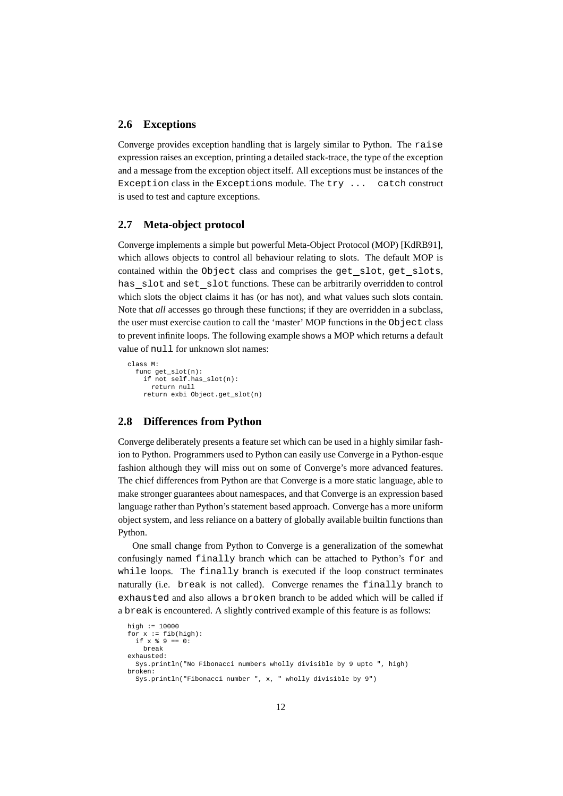#### **2.6 Exceptions**

Converge provides exception handling that is largely similar to Python. The raise expression raises an exception, printing a detailed stack-trace, the type of the exception and a message from the exception object itself. All exceptions must be instances of the Exception class in the Exceptions module. The  $try \dots$  catch construct is used to test and capture exceptions.

#### **2.7 Meta-object protocol**

Converge implements a simple but powerful Meta-Object Protocol (MOP) [KdRB91], which allows objects to control all behaviour relating to slots. The default MOP is contained within the Object class and comprises the get slot, get slots, has slot and set slot functions. These can be arbitrarily overridden to control which slots the object claims it has (or has not), and what values such slots contain. Note that *all* accesses go through these functions; if they are overridden in a subclass, the user must exercise caution to call the 'master' MOP functions in the Object class to prevent infinite loops. The following example shows a MOP which returns a default value of null for unknown slot names:

```
class M:
  func get_slot(n):
if not self.has_slot(n):
       return null
     return exbi Object.get_slot(n)
```
#### **2.8 Differences from Python**

Converge deliberately presents a feature set which can be used in a highly similar fashion to Python. Programmers used to Python can easily use Converge in a Python-esque fashion although they will miss out on some of Converge's more advanced features. The chief differences from Python are that Converge is a more static language, able to make stronger guarantees about namespaces, and that Converge is an expression based language rather than Python's statement based approach. Converge has a more uniform object system, and less reliance on a battery of globally available builtin functions than Python.

One small change from Python to Converge is a generalization of the somewhat confusingly named finally branch which can be attached to Python's for and while loops. The finally branch is executed if the loop construct terminates naturally (i.e. break is not called). Converge renames the finally branch to exhausted and also allows a broken branch to be added which will be called if a break is encountered. A slightly contrived example of this feature is as follows:

```
high := 10000
for x := fib(high):
  if x % 9 == 0:
   break
exhausted:
 Sys.println("No Fibonacci numbers wholly divisible by 9 upto ", high)
broken:
  Sys.println("Fibonacci number ", x, " wholly divisible by 9")
```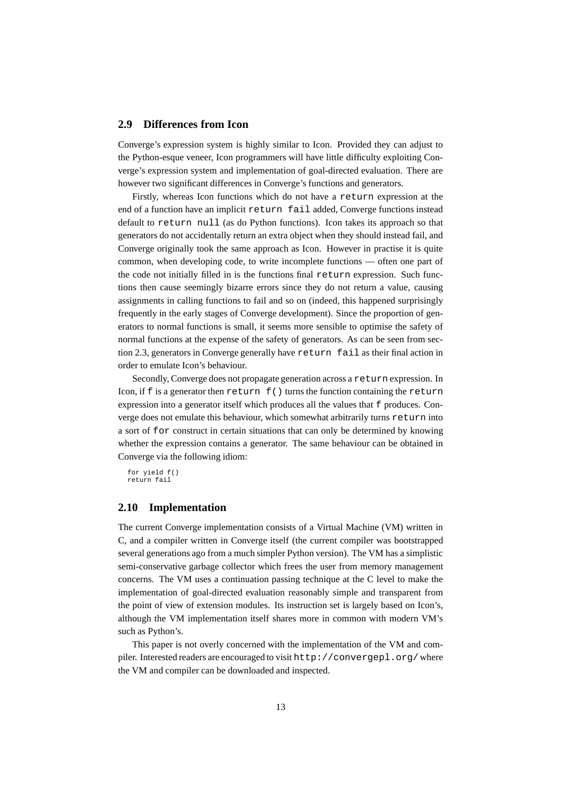#### **2.9 Differences from Icon**

Converge's expression system is highly similar to Icon. Provided they can adjust to the Python-esque veneer, Icon programmers will have little difficulty exploiting Converge's expression system and implementation of goal-directed evaluation. There are however two significant differences in Converge's functions and generators.

Firstly, whereas Icon functions which do not have a return expression at the end of a function have an implicit return fail added, Converge functions instead default to return null (as do Python functions). Icon takes its approach so that generators do not accidentally return an extra object when they should instead fail, and Converge originally took the same approach as Icon. However in practise it is quite common, when developing code, to write incomplete functions — often one part of the code not initially filled in is the functions final return expression. Such functions then cause seemingly bizarre errors since they do not return a value, causing assignments in calling functions to fail and so on (indeed, this happened surprisingly frequently in the early stages of Converge development). Since the proportion of generators to normal functions is small, it seems more sensible to optimise the safety of normal functions at the expense of the safety of generators. As can be seen from section 2.3, generators in Converge generally have return fail as their final action in order to emulate Icon's behaviour.

Secondly, Converge does not propagate generation across a return expression. In Icon, if  $f$  is a generator then  $r$ eturn  $f()$  turns the function containing the return expression into a generator itself which produces all the values that f produces. Converge does not emulate this behaviour, which somewhat arbitrarily turns return into a sort of for construct in certain situations that can only be determined by knowing whether the expression contains a generator. The same behaviour can be obtained in Converge via the following idiom:

for yield f() return fail

#### **2.10 Implementation**

The current Converge implementation consists of a Virtual Machine (VM) written in C, and a compiler written in Converge itself (the current compiler was bootstrapped several generations ago from a much simpler Python version). The VM has a simplistic semi-conservative garbage collector which frees the user from memory management concerns. The VM uses a continuation passing technique at the C level to make the implementation of goal-directed evaluation reasonably simple and transparent from the point of view of extension modules. Its instruction set is largely based on Icon's, although the VM implementation itself shares more in common with modern VM's such as Python's.

This paper is not overly concerned with the implementation of the VM and compiler. Interested readers are encouraged to visit http://convergepl.org/ where the VM and compiler can be downloaded and inspected.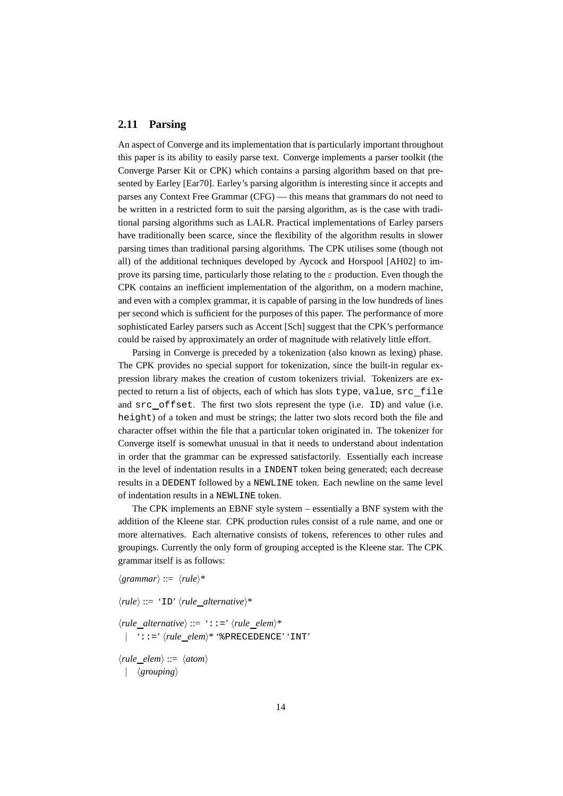#### **2.11 Parsing**

An aspect of Converge and its implementation that is particularly important throughout this paper is its ability to easily parse text. Converge implements a parser toolkit (the Converge Parser Kit or CPK) which contains a parsing algorithm based on that presented by Earley [Ear70]. Earley's parsing algorithm is interesting since it accepts and parses any Context Free Grammar (CFG) — this means that grammars do not need to be written in a restricted form to suit the parsing algorithm, as is the case with traditional parsing algorithms such as LALR. Practical implementations of Earley parsers have traditionally been scarce, since the flexibility of the algorithm results in slower parsing times than traditional parsing algorithms. The CPK utilises some (though not all) of the additional techniques developed by Aycock and Horspool [AH02] to improve its parsing time, particularly those relating to the  $\varepsilon$  production. Even though the CPK contains an inefficient implementation of the algorithm, on a modern machine, and even with a complex grammar, it is capable of parsing in the low hundreds of lines per second which is sufficient for the purposes of this paper. The performance of more sophisticated Earley parsers such as Accent [Sch] suggest that the CPK's performance could be raised by approximately an order of magnitude with relatively little effort.

Parsing in Converge is preceded by a tokenization (also known as lexing) phase. The CPK provides no special support for tokenization, since the built-in regular expression library makes the creation of custom tokenizers trivial. Tokenizers are expected to return a list of objects, each of which has slots type, value, src file and src offset. The first two slots represent the type (i.e. ID) and value (i.e. height) of a token and must be strings; the latter two slots record both the file and character offset within the file that a particular token originated in. The tokenizer for Converge itself is somewhat unusual in that it needs to understand about indentation in order that the grammar can be expressed satisfactorily. Essentially each increase in the level of indentation results in a INDENT token being generated; each decrease results in a DEDENT followed by a NEWLINE token. Each newline on the same level of indentation results in a NEWLINE token.

The CPK implements an EBNF style system – essentially a BNF system with the addition of the Kleene star. CPK production rules consist of a rule name, and one or more alternatives. Each alternative consists of tokens, references to other rules and groupings. Currently the only form of grouping accepted is the Kleene star. The CPK grammar itself is as follows:

```
\langlegrammar\rangle ::= \langle rule \rangle^*\langle rule \rangle ::= 'ID' \langle rule\_alternative \rangle^*\langle rule \space alternative \rangle ::= \text{':} := \langle rule \space elem \rangle^*| '::=' \rule elem\* '%PRECEDENCE' 'INT'
\langle rule \quad elem \rangle ::= \langle atom \rangle| \langle grouping\rangle
```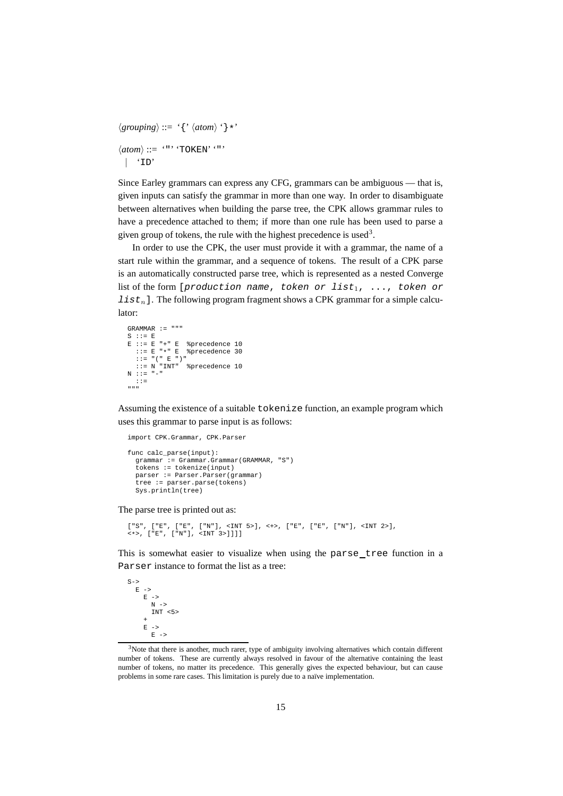```
\langle grouping \rangle ::= '{}' \langle atom \rangle ' \star'\langle atom \rangle ::= '"' 'TOKEN' '"'
  | 'ID'
```
Since Earley grammars can express any CFG, grammars can be ambiguous — that is, given inputs can satisfy the grammar in more than one way. In order to disambiguate between alternatives when building the parse tree, the CPK allows grammar rules to have a precedence attached to them; if more than one rule has been used to parse a given group of tokens, the rule with the highest precedence is used<sup>3</sup>.

In order to use the CPK, the user must provide it with a grammar, the name of a start rule within the grammar, and a sequence of tokens. The result of a CPK parse is an automatically constructed parse tree, which is represented as a nested Converge list of the form [production name, token or  $list_1, ...,$  token or  $list_n$ ]. The following program fragment shows a CPK grammar for a simple calculator:

```
GRAMMAR := """
S : := EE := E "+" E %precedence 10
  ::= E "*" E %precedence 30
::= "(" E ")"
  ::= N "INT" %precedence 10
N : := "--"::=
.<br>" "
```
Assuming the existence of a suitable tokenize function, an example program which uses this grammar to parse input is as follows:

```
import CPK.Grammar, CPK.Parser
func calc_parse(input):
  grammar := Grammar.Grammar(GRAMMAR, "S")
  tokens := tokenize(input)
  parser := Parser.Parser(grammar)
  tree := parser.parse(tokens)
  Sys.println(tree)
```
The parse tree is printed out as:

```
["S", ["E", ["E", ["N"], <INT 5>], <+>, ["E", ["E", ["N"], <INT 2>],
<*>, ["E", ["N"], <INT 3>]]]]
```
This is somewhat easier to visualize when using the parse\_tree function in a Parser instance to format the list as a tree:

```
S->E ->
     E ->
        N \rightarrowINT <5>
      +
      E ->
        E \rightarrow
```
<sup>&</sup>lt;sup>3</sup>Note that there is another, much rarer, type of ambiguity involving alternatives which contain different number of tokens. These are currently always resolved in favour of the alternative containing the least number of tokens, no matter its precedence. This generally gives the expected behaviour, but can cause problems in some rare cases. This limitation is purely due to a naïve implementation.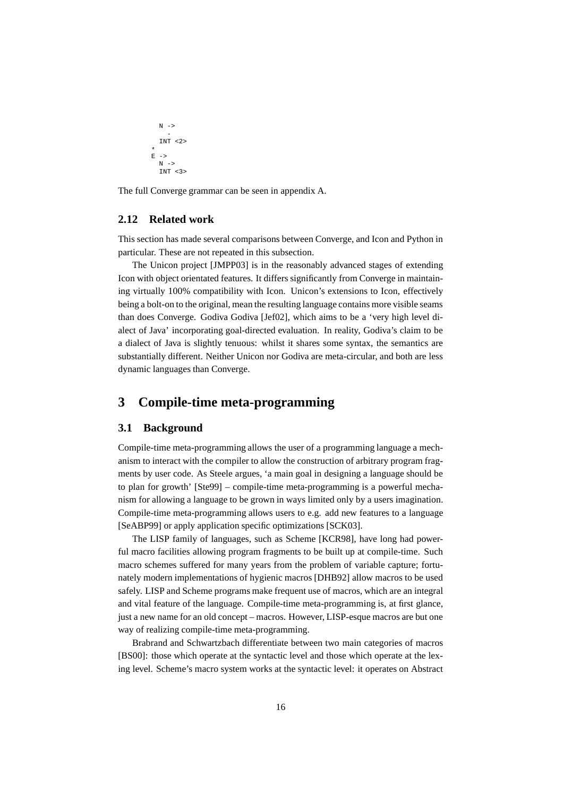```
N \rightarrow-
INT <2>
\bar{\textbf{E}}\rightarrowN = \inftyINT < 35
```
The full Converge grammar can be seen in appendix A.

#### **2.12 Related work**

This section has made several comparisons between Converge, and Icon and Python in particular. These are not repeated in this subsection.

The Unicon project [JMPP03] is in the reasonably advanced stages of extending Icon with object orientated features. It differs significantly from Converge in maintaining virtually 100% compatibility with Icon. Unicon's extensions to Icon, effectively being a bolt-on to the original, mean the resulting language contains more visible seams than does Converge. Godiva Godiva [Jef02], which aims to be a 'very high level dialect of Java' incorporating goal-directed evaluation. In reality, Godiva's claim to be a dialect of Java is slightly tenuous: whilst it shares some syntax, the semantics are substantially different. Neither Unicon nor Godiva are meta-circular, and both are less dynamic languages than Converge.

### **3 Compile-time meta-programming**

#### **3.1 Background**

Compile-time meta-programming allows the user of a programming language a mechanism to interact with the compiler to allow the construction of arbitrary program fragments by user code. As Steele argues, 'a main goal in designing a language should be to plan for growth' [Ste99] – compile-time meta-programming is a powerful mechanism for allowing a language to be grown in ways limited only by a users imagination. Compile-time meta-programming allows users to e.g. add new features to a language [SeABP99] or apply application specific optimizations [SCK03].

The LISP family of languages, such as Scheme [KCR98], have long had powerful macro facilities allowing program fragments to be built up at compile-time. Such macro schemes suffered for many years from the problem of variable capture; fortunately modern implementations of hygienic macros [DHB92] allow macros to be used safely. LISP and Scheme programs make frequent use of macros, which are an integral and vital feature of the language. Compile-time meta-programming is, at first glance, just a new name for an old concept – macros. However, LISP-esque macros are but one way of realizing compile-time meta-programming.

Brabrand and Schwartzbach differentiate between two main categories of macros [BS00]: those which operate at the syntactic level and those which operate at the lexing level. Scheme's macro system works at the syntactic level: it operates on Abstract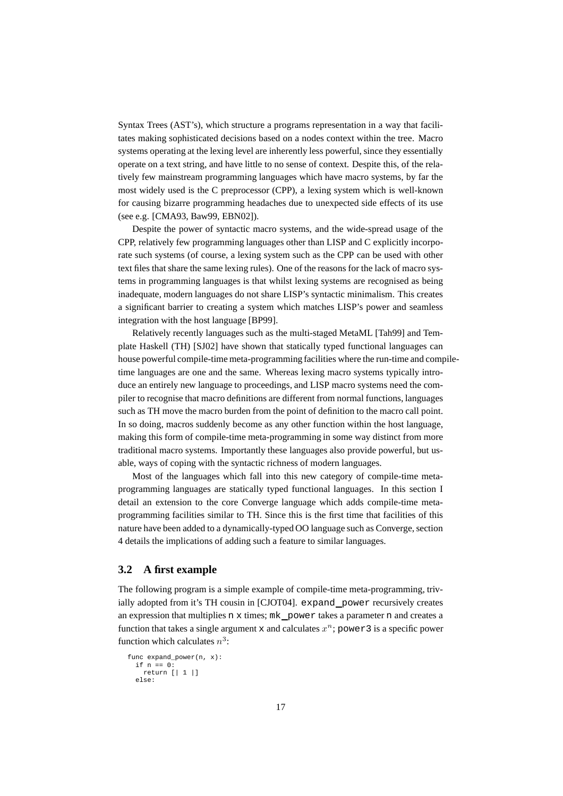Syntax Trees (AST's), which structure a programs representation in a way that facilitates making sophisticated decisions based on a nodes context within the tree. Macro systems operating at the lexing level are inherently less powerful, since they essentially operate on a text string, and have little to no sense of context. Despite this, of the relatively few mainstream programming languages which have macro systems, by far the most widely used is the C preprocessor (CPP), a lexing system which is well-known for causing bizarre programming headaches due to unexpected side effects of its use (see e.g. [CMA93, Baw99, EBN02]).

Despite the power of syntactic macro systems, and the wide-spread usage of the CPP, relatively few programming languages other than LISP and C explicitly incorporate such systems (of course, a lexing system such as the CPP can be used with other text files that share the same lexing rules). One of the reasons for the lack of macro systems in programming languages is that whilst lexing systems are recognised as being inadequate, modern languages do not share LISP's syntactic minimalism. This creates a significant barrier to creating a system which matches LISP's power and seamless integration with the host language [BP99].

Relatively recently languages such as the multi-staged MetaML [Tah99] and Template Haskell (TH) [SJ02] have shown that statically typed functional languages can house powerful compile-time meta-programming facilities where the run-time and compiletime languages are one and the same. Whereas lexing macro systems typically introduce an entirely new language to proceedings, and LISP macro systems need the compiler to recognise that macro definitions are different from normal functions, languages such as TH move the macro burden from the point of definition to the macro call point. In so doing, macros suddenly become as any other function within the host language, making this form of compile-time meta-programming in some way distinct from more traditional macro systems. Importantly these languages also provide powerful, but usable, ways of coping with the syntactic richness of modern languages.

Most of the languages which fall into this new category of compile-time metaprogramming languages are statically typed functional languages. In this section I detail an extension to the core Converge language which adds compile-time metaprogramming facilities similar to TH. Since this is the first time that facilities of this nature have been added to a dynamically-typed OO language such as Converge, section 4 details the implications of adding such a feature to similar languages.

#### **3.2 A first example**

The following program is a simple example of compile-time meta-programming, trivially adopted from it's TH cousin in [CJOT04]. expand power recursively creates an expression that multiplies n x times; mk\_power takes a parameter n and creates a function that takes a single argument x and calculates  $x^n$ ; power 3 is a specific power function which calculates  $n^3$ :

```
func expand_power(n, x):
  if n == 0:
  return [| 1 |]
else:
```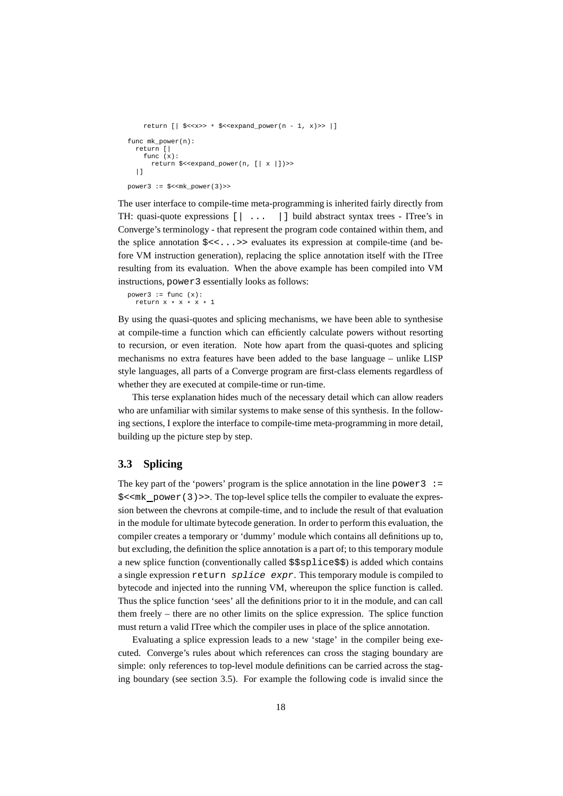```
return \begin{bmatrix} | & \text{5} < & x > > & \text{*} \\ & \text{5} < & & & & & \text{*} \\ & & & & & & & \text{*} \end{bmatrix}func mk_power(n):
   return [|
      func (x):
         return $<<expand_power(n, [| x |])>>
   |]
power3 := 5 < mk power(3) >>
```
The user interface to compile-time meta-programming is inherited fairly directly from TH: quasi-quote expressions [| ... |] build abstract syntax trees - ITree's in Converge's terminology - that represent the program code contained within them, and the splice annotation \$<<...>> evaluates its expression at compile-time (and before VM instruction generation), replacing the splice annotation itself with the ITree resulting from its evaluation. When the above example has been compiled into VM instructions, power3 essentially looks as follows:

power3 :=  $func(x)$ : return x \* x \* x \* 1

By using the quasi-quotes and splicing mechanisms, we have been able to synthesise at compile-time a function which can efficiently calculate powers without resorting to recursion, or even iteration. Note how apart from the quasi-quotes and splicing mechanisms no extra features have been added to the base language – unlike LISP style languages, all parts of a Converge program are first-class elements regardless of whether they are executed at compile-time or run-time.

This terse explanation hides much of the necessary detail which can allow readers who are unfamiliar with similar systems to make sense of this synthesis. In the following sections, I explore the interface to compile-time meta-programming in more detail, building up the picture step by step.

#### **3.3 Splicing**

The key part of the 'powers' program is the splice annotation in the line power  $3 \div 1$ \$<<mk power(3)>>. The top-level splice tells the compiler to evaluate the expression between the chevrons at compile-time, and to include the result of that evaluation in the module for ultimate bytecode generation. In order to perform this evaluation, the compiler creates a temporary or 'dummy' module which contains all definitions up to, but excluding, the definition the splice annotation is a part of; to this temporary module a new splice function (conventionally called \$\$splice\$\$) is added which contains a single expression return splice expr. This temporary module is compiled to bytecode and injected into the running VM, whereupon the splice function is called. Thus the splice function 'sees' all the definitions prior to it in the module, and can call them freely – there are no other limits on the splice expression. The splice function must return a valid ITree which the compiler uses in place of the splice annotation.

Evaluating a splice expression leads to a new 'stage' in the compiler being executed. Converge's rules about which references can cross the staging boundary are simple: only references to top-level module definitions can be carried across the staging boundary (see section 3.5). For example the following code is invalid since the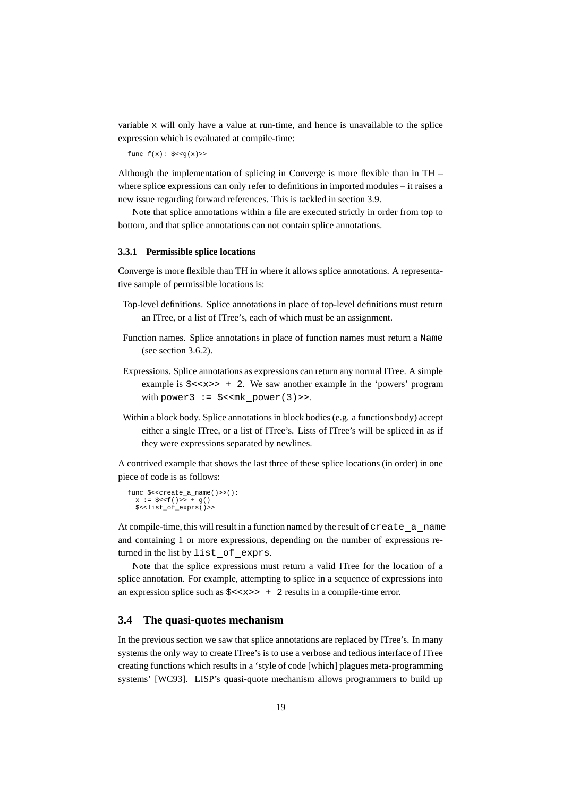variable x will only have a value at run-time, and hence is unavailable to the splice expression which is evaluated at compile-time:

```
func f(x): \zeta < g(x) >>
```
Although the implementation of splicing in Converge is more flexible than in TH – where splice expressions can only refer to definitions in imported modules – it raises a new issue regarding forward references. This is tackled in section 3.9.

Note that splice annotations within a file are executed strictly in order from top to bottom, and that splice annotations can not contain splice annotations.

#### **3.3.1 Permissible splice locations**

Converge is more flexible than TH in where it allows splice annotations. A representative sample of permissible locations is:

- Top-level definitions. Splice annotations in place of top-level definitions must return an ITree, or a list of ITree's, each of which must be an assignment.
- Function names. Splice annotations in place of function names must return a Name (see section 3.6.2).
- Expressions. Splice annotations as expressions can return any normal ITree. A simple example is  $$<> + 2$ . We saw another example in the 'powers' program with power3  $:=$   $\frac{1}{5}$  <  $\frac{1}{2}$  \ power(3) >>.
- Within a block body. Splice annotations in block bodies (e.g. a functions body) accept either a single ITree, or a list of ITree's. Lists of ITree's will be spliced in as if they were expressions separated by newlines.

A contrived example that shows the last three of these splice locations (in order) in one piece of code is as follows:

```
func $<<create_a_name()>>():
   x := $<<f()>> + g()
$<<list_of_exprs()>>
```
At compile-time, this will result in a function named by the result of create a name and containing 1 or more expressions, depending on the number of expressions returned in the list by list\_of\_exprs.

Note that the splice expressions must return a valid ITree for the location of a splice annotation. For example, attempting to splice in a sequence of expressions into an expression splice such as  $$<> + 2$  results in a compile-time error.

#### **3.4 The quasi-quotes mechanism**

In the previous section we saw that splice annotations are replaced by ITree's. In many systems the only way to create ITree's is to use a verbose and tedious interface of ITree creating functions which results in a 'style of code [which] plagues meta-programming systems' [WC93]. LISP's quasi-quote mechanism allows programmers to build up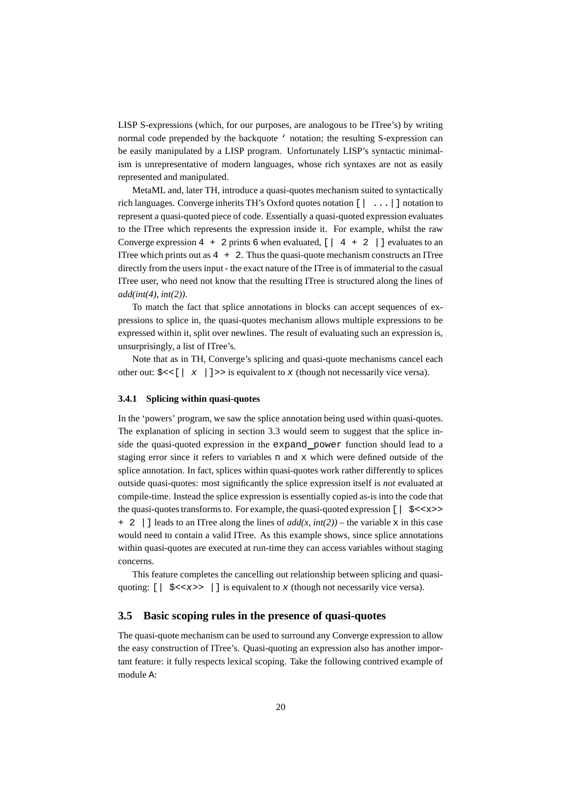LISP S-expressions (which, for our purposes, are analogous to be ITree's) by writing normal code prepended by the backquote ' notation; the resulting S-expression can be easily manipulated by a LISP program. Unfortunately LISP's syntactic minimalism is unrepresentative of modern languages, whose rich syntaxes are not as easily represented and manipulated.

MetaML and, later TH, introduce a quasi-quotes mechanism suited to syntactically rich languages. Converge inherits TH's Oxford quotes notation [| ...|] notation to represent a quasi-quoted piece of code. Essentially a quasi-quoted expression evaluates to the ITree which represents the expression inside it. For example, whilst the raw Converge expression  $4 + 2$  prints 6 when evaluated,  $\begin{bmatrix} 4 + 2 \end{bmatrix}$  evaluates to an ITree which prints out as  $4 + 2$ . Thus the quasi-quote mechanism constructs an ITree directly from the users input - the exact nature of the ITree is of immaterial to the casual ITree user, who need not know that the resulting ITree is structured along the lines of *add(int(4), int(2))*.

To match the fact that splice annotations in blocks can accept sequences of expressions to splice in, the quasi-quotes mechanism allows multiple expressions to be expressed within it, split over newlines. The result of evaluating such an expression is, unsurprisingly, a list of ITree's.

Note that as in TH, Converge's splicing and quasi-quote mechanisms cancel each other out:  $\zeta \ll |x|$  | |>> is equivalent to x (though not necessarily vice versa).

#### **3.4.1 Splicing within quasi-quotes**

In the 'powers' program, we saw the splice annotation being used within quasi-quotes. The explanation of splicing in section 3.3 would seem to suggest that the splice inside the quasi-quoted expression in the expand power function should lead to a staging error since it refers to variables n and x which were defined outside of the splice annotation. In fact, splices within quasi-quotes work rather differently to splices outside quasi-quotes: most significantly the splice expression itself is *not* evaluated at compile-time. Instead the splice expression is essentially copied as-is into the code that the quasi-quotestransformsto. For example, the quasi-quoted expression [| \$<<x>>  $+ 2$  | ] leads to an ITree along the lines of  $add(x, int(2))$  – the variable x in this case would need to contain a valid ITree. As this example shows, since splice annotations within quasi-quotes are executed at run-time they can access variables without staging concerns.

This feature completes the cancelling out relationship between splicing and quasiquoting:  $[ \ | \ \xi \ll x \gg ]$  is equivalent to x (though not necessarily vice versa).

#### **3.5 Basic scoping rules in the presence of quasi-quotes**

The quasi-quote mechanism can be used to surround any Converge expression to allow the easy construction of ITree's. Quasi-quoting an expression also has another important feature: it fully respects lexical scoping. Take the following contrived example of module A: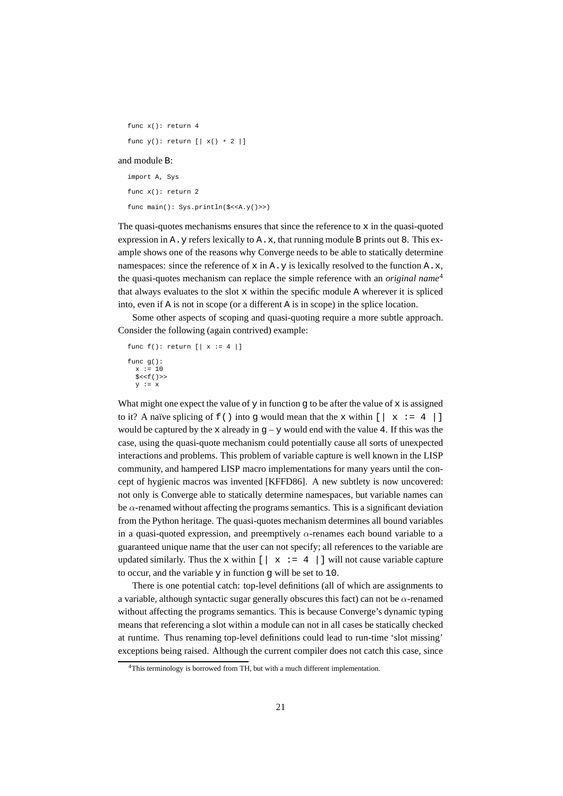```
func x(): return 4
func y(): return [ x() * 2 ]
```
and module B:

```
import A, Sys
func x(): return 2
func main(): Sys.println($<<A.y()>>)
```
The quasi-quotes mechanisms ensures that since the reference to  $x$  in the quasi-quoted expression in A.y refers lexically to A.x, that running module B prints out 8. This example shows one of the reasons why Converge needs to be able to statically determine namespaces: since the reference of  $x$  in A.y is lexically resolved to the function A.x, the quasi-quotes mechanism can replace the simple reference with an *original name*<sup>4</sup> that always evaluates to the slot  $x$  within the specific module A wherever it is spliced into, even if A is not in scope (or a different A is in scope) in the splice location.

Some other aspects of scoping and quasi-quoting require a more subtle approach. Consider the following (again contrived) example:

```
func f(): return [ | x := 4 | ]func g():
 x := 10$<<f( )>>y := x
```
What might one expect the value of y in function  $\alpha$  to be after the value of x is assigned to it? A naïve splicing of  $f()$  into q would mean that the x within  $[ \, | \, x := 4 \, | \, ]$ would be captured by the x already in  $q - y$  would end with the value 4. If this was the case, using the quasi-quote mechanism could potentially cause all sorts of unexpected interactions and problems. This problem of variable capture is well known in the LISP community, and hampered LISP macro implementations for many years until the concept of hygienic macros was invented [KFFD86]. A new subtlety is now uncovered: not only is Converge able to statically determine namespaces, but variable names can be  $\alpha$ -renamed without affecting the programs semantics. This is a significant deviation from the Python heritage. The quasi-quotes mechanism determines all bound variables in a quasi-quoted expression, and preemptively  $\alpha$ -renames each bound variable to a guaranteed unique name that the user can not specify; all references to the variable are updated similarly. Thus the x within  $\begin{bmatrix} \n\end{bmatrix} x := 4 \begin{bmatrix} \n\end{bmatrix}$  will not cause variable capture to occur, and the variable  $y$  in function  $q$  will be set to 10.

There is one potential catch: top-level definitions (all of which are assignments to a variable, although syntactic sugar generally obscures this fact) can not be  $\alpha$ -renamed without affecting the programs semantics. This is because Converge's dynamic typing means that referencing a slot within a module can not in all cases be statically checked at runtime. Thus renaming top-level definitions could lead to run-time 'slot missing' exceptions being raised. Although the current compiler does not catch this case, since

<sup>4</sup>This terminology is borrowed from TH, but with a much different implementation.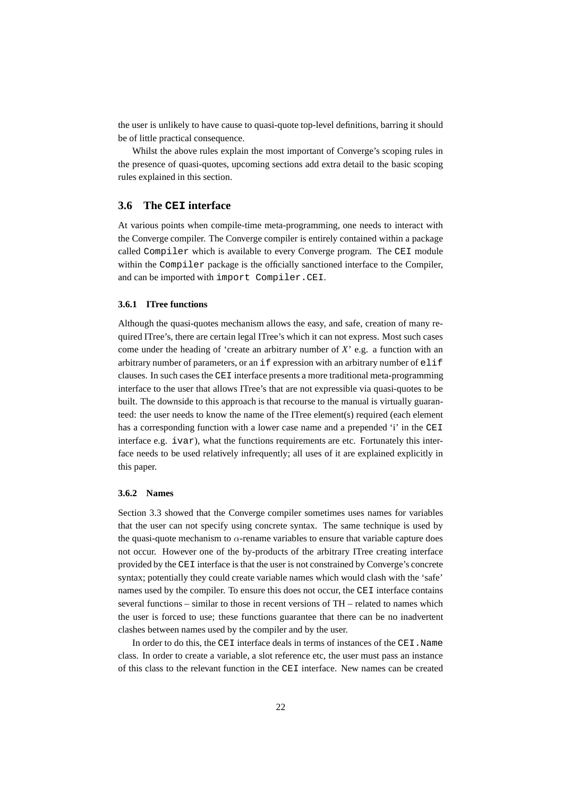the user is unlikely to have cause to quasi-quote top-level definitions, barring it should be of little practical consequence.

Whilst the above rules explain the most important of Converge's scoping rules in the presence of quasi-quotes, upcoming sections add extra detail to the basic scoping rules explained in this section.

#### **3.6 The CEI interface**

At various points when compile-time meta-programming, one needs to interact with the Converge compiler. The Converge compiler is entirely contained within a package called Compiler which is available to every Converge program. The CEI module within the Compiler package is the officially sanctioned interface to the Compiler, and can be imported with import Compiler.CEI.

#### **3.6.1 ITree functions**

Although the quasi-quotes mechanism allows the easy, and safe, creation of many required ITree's, there are certain legal ITree's which it can not express. Most such cases come under the heading of 'create an arbitrary number of *X*' e.g. a function with an arbitrary number of parameters, or an if expression with an arbitrary number of elif clauses. In such cases the CEI interface presents a more traditional meta-programming interface to the user that allows ITree's that are not expressible via quasi-quotes to be built. The downside to this approach is that recourse to the manual is virtually guaranteed: the user needs to know the name of the ITree element(s) required (each element has a corresponding function with a lower case name and a prepended 'i' in the CEI interface e.g. ivar), what the functions requirements are etc. Fortunately this interface needs to be used relatively infrequently; all uses of it are explained explicitly in this paper.

#### **3.6.2 Names**

Section 3.3 showed that the Converge compiler sometimes uses names for variables that the user can not specify using concrete syntax. The same technique is used by the quasi-quote mechanism to  $\alpha$ -rename variables to ensure that variable capture does not occur. However one of the by-products of the arbitrary ITree creating interface provided by the CEI interface is that the user is not constrained by Converge's concrete syntax; potentially they could create variable names which would clash with the 'safe' names used by the compiler. To ensure this does not occur, the CEI interface contains several functions – similar to those in recent versions of TH – related to names which the user is forced to use; these functions guarantee that there can be no inadvertent clashes between names used by the compiler and by the user.

In order to do this, the CEI interface deals in terms of instances of the CEI.Name class. In order to create a variable, a slot reference etc, the user must pass an instance of this class to the relevant function in the CEI interface. New names can be created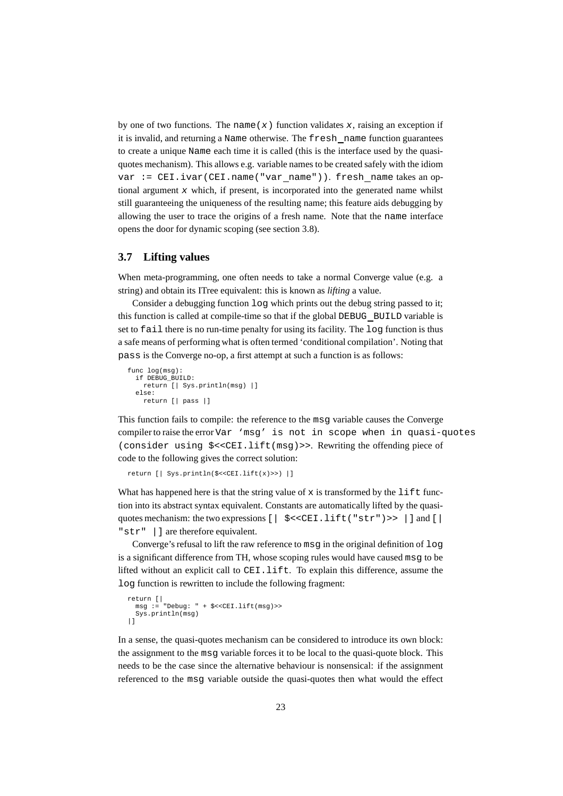by one of two functions. The name  $(x)$  function validates x, raising an exception if it is invalid, and returning a Name otherwise. The fresh name function guarantees to create a unique Name each time it is called (this is the interface used by the quasiquotes mechanism). This allows e.g. variable names to be created safely with the idiom var := CEI.ivar(CEI.name("var name")). fresh name takes an optional argument  $x$  which, if present, is incorporated into the generated name whilst still guaranteeing the uniqueness of the resulting name; this feature aids debugging by allowing the user to trace the origins of a fresh name. Note that the name interface opens the door for dynamic scoping (see section 3.8).

#### **3.7 Lifting values**

When meta-programming, one often needs to take a normal Converge value (e.g. a string) and obtain its ITree equivalent: this is known as *lifting* a value.

Consider a debugging function log which prints out the debug string passed to it; this function is called at compile-time so that if the global DEBUG BUILD variable is set to  $f$  a il there is no run-time penalty for using its facility. The  $log$  function is thus a safe means of performing what is often termed 'conditional compilation'. Noting that pass is the Converge no-op, a first attempt at such a function is as follows:

```
func log(msg):
 if DEBUG_BUILD:
   return [| Sys.println(msg) |]
 else:
   return [| pass |]
```
This function fails to compile: the reference to the msg variable causes the Converge compiler to raise the error Var 'msg' is not in scope when in quasi-quotes (consider using \$<<CEI.lift(msg)>>. Rewriting the offending piece of code to the following gives the correct solution:

```
return [| Sys.println($<<CEI.lift(x)>>) |]
```
What has happened here is that the string value of  $x$  is transformed by the lift function into its abstract syntax equivalent. Constants are automatically lifted by the quasiquotes mechanism: the two expressions [| \$<<CEI.lift("str")>> |] and [| "str" |] are therefore equivalent.

Converge's refusal to lift the raw reference to msq in the original definition of  $log$ is a significant difference from TH, whose scoping rules would have caused msg to be lifted without an explicit call to CEI.lift. To explain this difference, assume the log function is rewritten to include the following fragment:

```
return [|
  msg := "Debug: " + $<<CEI.lift(msg)>>
 Sys.println(msg)
|]
```
In a sense, the quasi-quotes mechanism can be considered to introduce its own block: the assignment to the msg variable forces it to be local to the quasi-quote block. This needs to be the case since the alternative behaviour is nonsensical: if the assignment referenced to the msg variable outside the quasi-quotes then what would the effect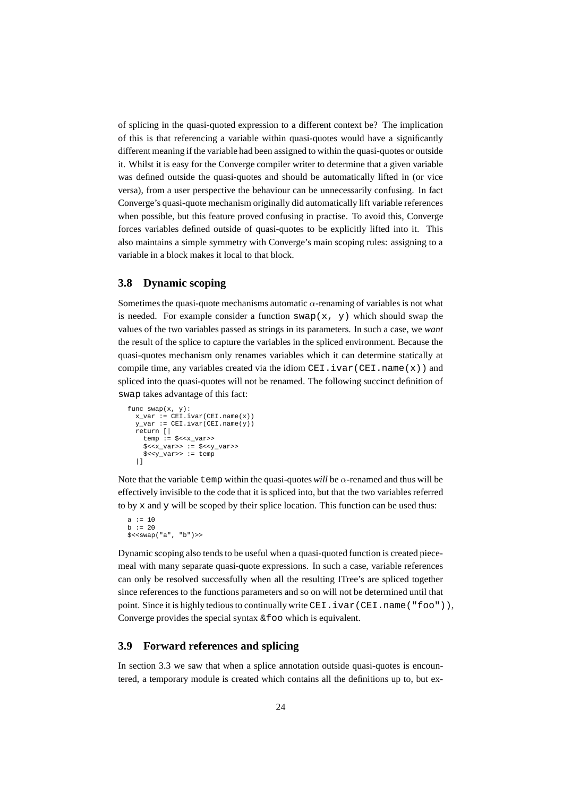of splicing in the quasi-quoted expression to a different context be? The implication of this is that referencing a variable within quasi-quotes would have a significantly different meaning if the variable had been assigned to within the quasi-quotes or outside it. Whilst it is easy for the Converge compiler writer to determine that a given variable was defined outside the quasi-quotes and should be automatically lifted in (or vice versa), from a user perspective the behaviour can be unnecessarily confusing. In fact Converge's quasi-quote mechanism originally did automatically lift variable references when possible, but this feature proved confusing in practise. To avoid this, Converge forces variables defined outside of quasi-quotes to be explicitly lifted into it. This also maintains a simple symmetry with Converge's main scoping rules: assigning to a variable in a block makes it local to that block.

#### **3.8 Dynamic scoping**

Sometimes the quasi-quote mechanisms automatic  $\alpha$ -renaming of variables is not what is needed. For example consider a function swap(x, y) which should swap the values of the two variables passed as strings in its parameters. In such a case, we *want* the result of the splice to capture the variables in the spliced environment. Because the quasi-quotes mechanism only renames variables which it can determine statically at compile time, any variables created via the idiom  $CET$ . ivar (CEI. name (x)) and spliced into the quasi-quotes will not be renamed. The following succinct definition of swap takes advantage of this fact:

```
func swap(x, y):
  x_{var} := \text{CEI}.\text{ivar}(\text{CEI}.\text{name}(x))y_{var} := CEL.ivar(CEL.name(y))return [|
    temp := $<<x_vars>>$<<x_var>> := $<<y_var>>
    $<<y_vars> := temp|]
```
Note that the variable temp within the quasi-quotes *will* be  $\alpha$ -renamed and thus will be effectively invisible to the code that it is spliced into, but that the two variables referred to by x and y will be scoped by their splice location. This function can be used thus:

```
a := 10h := 20$<<swap("a", "b")>>
```
Dynamic scoping also tends to be useful when a quasi-quoted function is created piecemeal with many separate quasi-quote expressions. In such a case, variable references can only be resolved successfully when all the resulting ITree's are spliced together since references to the functions parameters and so on will not be determined until that point. Since it is highly tedious to continually write CEI. ivar (CEI. name ("foo")), Converge provides the special syntax  $\&$  foo which is equivalent.

#### **3.9 Forward references and splicing**

In section 3.3 we saw that when a splice annotation outside quasi-quotes is encountered, a temporary module is created which contains all the definitions up to, but ex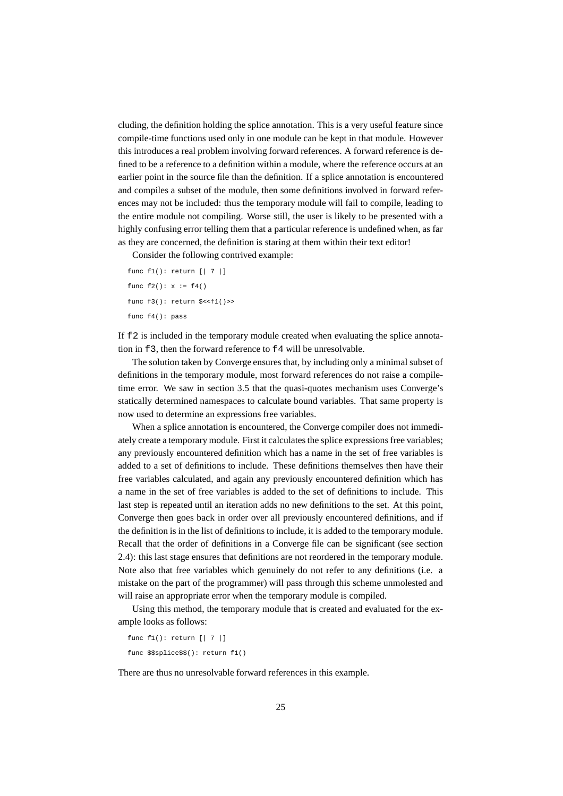cluding, the definition holding the splice annotation. This is a very useful feature since compile-time functions used only in one module can be kept in that module. However this introduces a real problem involving forward references. A forward reference is defined to be a reference to a definition within a module, where the reference occurs at an earlier point in the source file than the definition. If a splice annotation is encountered and compiles a subset of the module, then some definitions involved in forward references may not be included: thus the temporary module will fail to compile, leading to the entire module not compiling. Worse still, the user is likely to be presented with a highly confusing error telling them that a particular reference is undefined when, as far as they are concerned, the definition is staring at them within their text editor!

Consider the following contrived example:

```
func f1(): return [| 7 |]
func f2(): x := f4()func f3(): return \xi < f1() >>
func f4(): pass
```
If  $E_2$  is included in the temporary module created when evaluating the splice annotation in f<sub>3</sub>, then the forward reference to f<sub>4</sub> will be unresolvable.

The solution taken by Converge ensures that, by including only a minimal subset of definitions in the temporary module, most forward references do not raise a compiletime error. We saw in section 3.5 that the quasi-quotes mechanism uses Converge's statically determined namespaces to calculate bound variables. That same property is now used to determine an expressions free variables.

When a splice annotation is encountered, the Converge compiler does not immediately create a temporary module. First it calculates the splice expressions free variables; any previously encountered definition which has a name in the set of free variables is added to a set of definitions to include. These definitions themselves then have their free variables calculated, and again any previously encountered definition which has a name in the set of free variables is added to the set of definitions to include. This last step is repeated until an iteration adds no new definitions to the set. At this point, Converge then goes back in order over all previously encountered definitions, and if the definition is in the list of definitions to include, it is added to the temporary module. Recall that the order of definitions in a Converge file can be significant (see section 2.4): this last stage ensures that definitions are not reordered in the temporary module. Note also that free variables which genuinely do not refer to any definitions (i.e. a mistake on the part of the programmer) will pass through this scheme unmolested and will raise an appropriate error when the temporary module is compiled.

Using this method, the temporary module that is created and evaluated for the example looks as follows:

```
func f1(): return [| 7 |]
func $$splice$$(): return f1()
```
There are thus no unresolvable forward references in this example.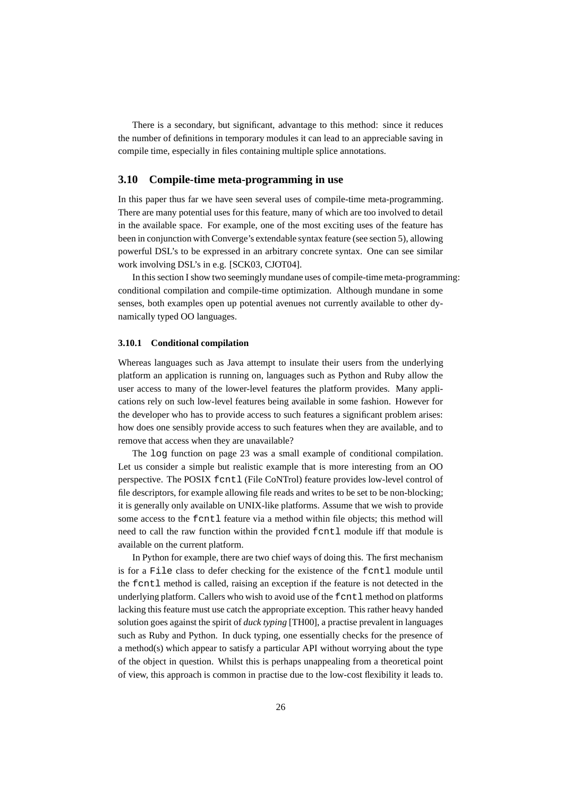There is a secondary, but significant, advantage to this method: since it reduces the number of definitions in temporary modules it can lead to an appreciable saving in compile time, especially in files containing multiple splice annotations.

#### **3.10 Compile-time meta-programming in use**

In this paper thus far we have seen several uses of compile-time meta-programming. There are many potential uses for this feature, many of which are too involved to detail in the available space. For example, one of the most exciting uses of the feature has been in conjunction with Converge's extendable syntax feature (see section 5), allowing powerful DSL's to be expressed in an arbitrary concrete syntax. One can see similar work involving DSL's in e.g. [SCK03, CJOT04].

In this section I show two seemingly mundane uses of compile-time meta-programming: conditional compilation and compile-time optimization. Although mundane in some senses, both examples open up potential avenues not currently available to other dynamically typed OO languages.

#### **3.10.1 Conditional compilation**

Whereas languages such as Java attempt to insulate their users from the underlying platform an application is running on, languages such as Python and Ruby allow the user access to many of the lower-level features the platform provides. Many applications rely on such low-level features being available in some fashion. However for the developer who has to provide access to such features a significant problem arises: how does one sensibly provide access to such features when they are available, and to remove that access when they are unavailable?

The log function on page 23 was a small example of conditional compilation. Let us consider a simple but realistic example that is more interesting from an OO perspective. The POSIX fcntl (File CoNTrol) feature provides low-level control of file descriptors, for example allowing file reads and writes to be set to be non-blocking; it is generally only available on UNIX-like platforms. Assume that we wish to provide some access to the fcntl feature via a method within file objects; this method will need to call the raw function within the provided fcntl module iff that module is available on the current platform.

In Python for example, there are two chief ways of doing this. The first mechanism is for a File class to defer checking for the existence of the fcntl module until the fcntl method is called, raising an exception if the feature is not detected in the underlying platform. Callers who wish to avoid use of the fcntl method on platforms lacking this feature must use catch the appropriate exception. This rather heavy handed solution goes against the spirit of *duck typing* [TH00], a practise prevalent in languages such as Ruby and Python. In duck typing, one essentially checks for the presence of a method(s) which appear to satisfy a particular API without worrying about the type of the object in question. Whilst this is perhaps unappealing from a theoretical point of view, this approach is common in practise due to the low-cost flexibility it leads to.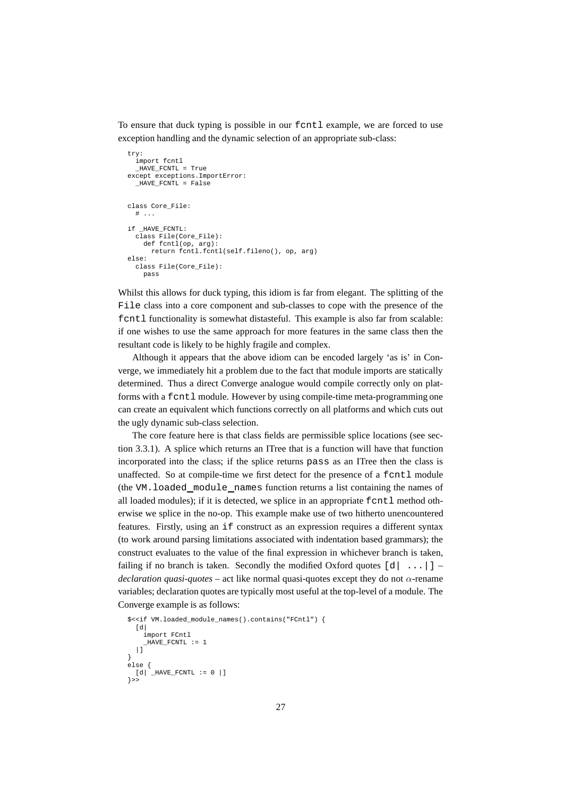To ensure that duck typing is possible in our fcntl example, we are forced to use exception handling and the dynamic selection of an appropriate sub-class:

```
try:
  import fcntl
  _HAVE_FCNTL = True
except exceptions.ImportError:
  _HAVE_FCNTL = False
class Core_File:
  # ...
if _HAVE_FCNTL:
  class File(Core_File):
   def fcntl(op, arg):
     return fcntl.fcntl(self.fileno(), op, arg)
else:
  class File(Core_File):
   pass
```
Whilst this allows for duck typing, this idiom is far from elegant. The splitting of the File class into a core component and sub-classes to cope with the presence of the fcntl functionality is somewhat distasteful. This example is also far from scalable: if one wishes to use the same approach for more features in the same class then the resultant code is likely to be highly fragile and complex.

Although it appears that the above idiom can be encoded largely 'as is' in Converge, we immediately hit a problem due to the fact that module imports are statically determined. Thus a direct Converge analogue would compile correctly only on platforms with a fcntl module. However by using compile-time meta-programming one can create an equivalent which functions correctly on all platforms and which cuts out the ugly dynamic sub-class selection.

The core feature here is that class fields are permissible splice locations (see section 3.3.1). A splice which returns an ITree that is a function will have that function incorporated into the class; if the splice returns pass as an ITree then the class is unaffected. So at compile-time we first detect for the presence of a fcntl module (the VM.loaded module names function returns a list containing the names of all loaded modules); if it is detected, we splice in an appropriate fcntl method otherwise we splice in the no-op. This example make use of two hitherto unencountered features. Firstly, using an if construct as an expression requires a different syntax (to work around parsing limitations associated with indentation based grammars); the construct evaluates to the value of the final expression in whichever branch is taken, failing if no branch is taken. Secondly the modified Oxford quotes  $[d]$ ... *declaration quasi-quotes* – act like normal quasi-quotes except they do not  $\alpha$ -rename variables; declaration quotes are typically most useful at the top-level of a module. The Converge example is as follows:

```
$<<if VM.loaded_module_names().contains("FCntl") {
  \lceil d \rceilimport FCntl
    HAVE_FCNTL := 1|]
}
else {
 [d] _HAVE_FCNTL := 0 |]
\frac{1}{2}
```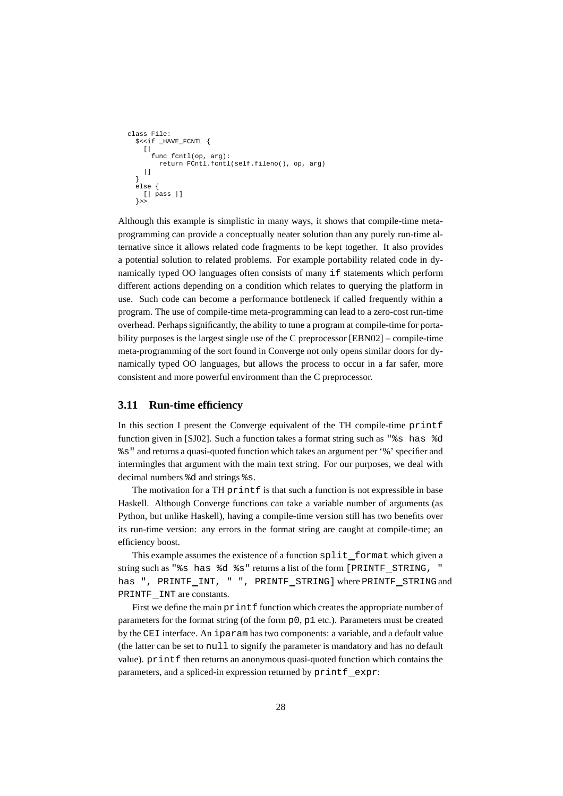```
class File:
  $<<if _HAVE_FCNTL {
    [|
      func fcntl(op, arg):
        return FCntl.fcntl(self.fileno(), op, arg)
    |]
  }
  else {
    [| pass |]
  }>>
```
Although this example is simplistic in many ways, it shows that compile-time metaprogramming can provide a conceptually neater solution than any purely run-time alternative since it allows related code fragments to be kept together. It also provides a potential solution to related problems. For example portability related code in dynamically typed OO languages often consists of many if statements which perform different actions depending on a condition which relates to querying the platform in use. Such code can become a performance bottleneck if called frequently within a program. The use of compile-time meta-programming can lead to a zero-cost run-time overhead. Perhaps significantly, the ability to tune a program at compile-time for portability purposes is the largest single use of the C preprocessor [EBN02] – compile-time meta-programming of the sort found in Converge not only opens similar doors for dynamically typed OO languages, but allows the process to occur in a far safer, more consistent and more powerful environment than the C preprocessor.

#### **3.11 Run-time efficiency**

In this section I present the Converge equivalent of the TH compile-time printf function given in [SJ02]. Such a function takes a format string such as "%s has %d %s" and returns a quasi-quoted function which takes an argument per '%' specifier and intermingles that argument with the main text string. For our purposes, we deal with decimal numbers %d and strings %s.

The motivation for a TH printf is that such a function is not expressible in base Haskell. Although Converge functions can take a variable number of arguments (as Python, but unlike Haskell), having a compile-time version still has two benefits over its run-time version: any errors in the format string are caught at compile-time; an efficiency boost.

This example assumes the existence of a function split format which given a string such as "%s has %d %s" returns a list of the form [PRINTF STRING, " has ", PRINTF\_INT, " ", PRINTF\_STRING] where PRINTF\_STRING and PRINTF INT are constants.

First we define the main print function which creates the appropriate number of parameters for the format string (of the form  $p0$ ,  $p1$  etc.). Parameters must be created by the CEI interface. An iparam has two components: a variable, and a default value (the latter can be set to null to signify the parameter is mandatory and has no default value). printf then returns an anonymous quasi-quoted function which contains the parameters, and a spliced-in expression returned by printf expr: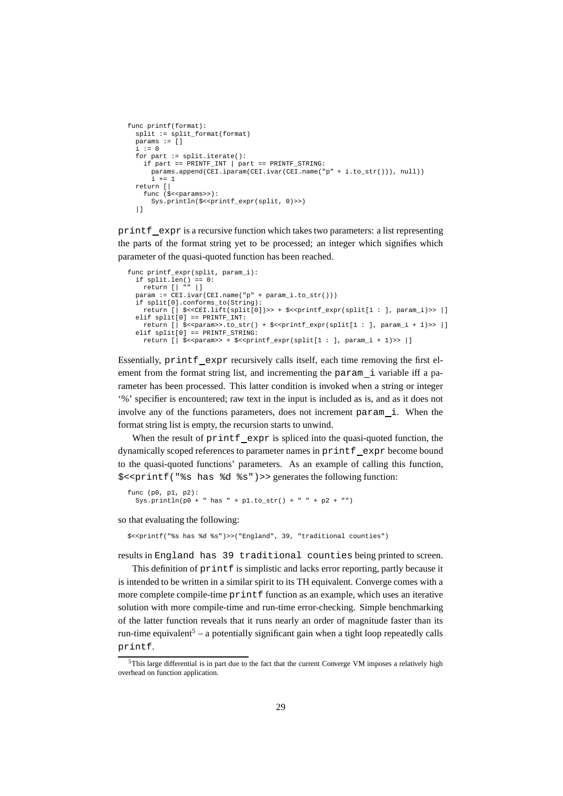```
func printf(format):
  split := split_format(format)
params := []
  i := 0for part := split.iterate():
    if part == PRINTF_INT | part == PRINTF_STRING:
      params.append(CEI.iparam(CEI.ivar(CEI.name("p" + i.to_str())), null))
      i + 1return [|
    func ($<<params>>):
      Sys.println($<<printf_expr(split, 0)>>)
  |]
```
printf expr is a recursive function which takes two parameters: a list representing the parts of the format string yet to be processed; an integer which signifies which parameter of the quasi-quoted function has been reached.

```
func printf_expr(split, param_i):
  if split.len() == 0:
return [| "" |]
  \begin{bmatrix} 1 & 1 \\ 2 & 2 \end{bmatrix}<br>param := CEI.ivar(CEI.name("p" + param_i.to_str()))
  if split[0].conforms_to(String):
    return [| $<<CEI.lift(split[0])>> + $<<printf_expr(split[1 : ], param_i)>> |]
  elif split[0] == PRINTERreturn [| $<<param>>.to_str() + $<<printf_expr(split[1 : ], param_i + 1)>> |]
  elif split[0] == PRINTF_STRING:
    return [ $<<param>> + $<<printf_expr(split[1 : ], param_i + 1)>> |]
```
Essentially, printf\_expr recursively calls itself, each time removing the first element from the format string list, and incrementing the param i variable iff a parameter has been processed. This latter condition is invoked when a string or integer '%' specifier is encountered; raw text in the input is included as is, and as it does not involve any of the functions parameters, does not increment param\_i. When the format string list is empty, the recursion starts to unwind.

When the result of printf expr is spliced into the quasi-quoted function, the dynamically scoped references to parameter names in printf expr become bound to the quasi-quoted functions' parameters. As an example of calling this function, \$<<printf("%s has %d %s")>> generates the following function:

```
func (p0, p1, p2):
 Sys.println(p0 + " has " + p1.to_str() + " " + p2 + "")
```
so that evaluating the following:

\$<<printf("%s has %d %s")>>("England", 39, "traditional counties")

results in England has 39 traditional counties being printed to screen.

This definition of printf is simplistic and lacks error reporting, partly because it is intended to be written in a similar spirit to its TH equivalent. Converge comes with a more complete compile-time printf function as an example, which uses an iterative solution with more compile-time and run-time error-checking. Simple benchmarking of the latter function reveals that it runs nearly an order of magnitude faster than its run-time equivalent<sup>5</sup> – a potentially significant gain when a tight loop repeatedly calls printf.

 $5$ This large differential is in part due to the fact that the current Converge VM imposes a relatively high overhead on function application.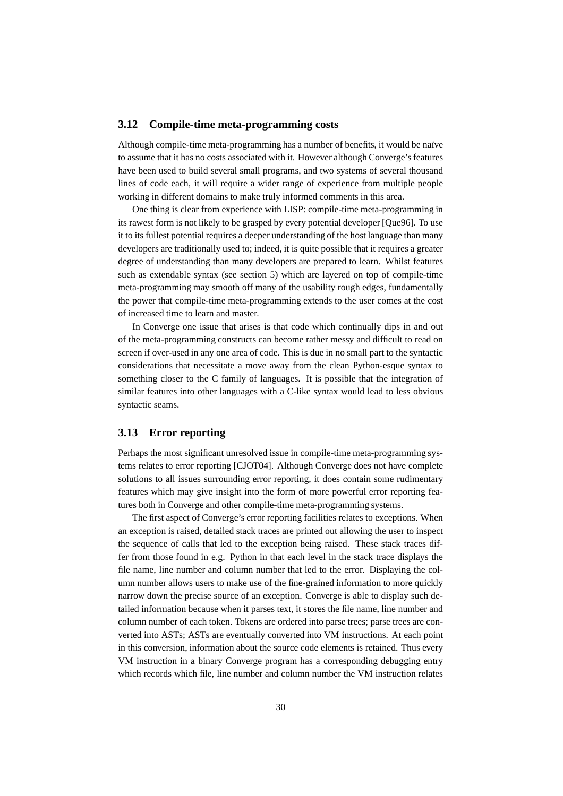#### **3.12 Compile-time meta-programming costs**

Although compile-time meta-programming has a number of benefits, it would be naïve to assume that it has no costs associated with it. However although Converge's features have been used to build several small programs, and two systems of several thousand lines of code each, it will require a wider range of experience from multiple people working in different domains to make truly informed comments in this area.

One thing is clear from experience with LISP: compile-time meta-programming in its rawest form is not likely to be grasped by every potential developer [Que96]. To use it to its fullest potential requires a deeper understanding of the host language than many developers are traditionally used to; indeed, it is quite possible that it requires a greater degree of understanding than many developers are prepared to learn. Whilst features such as extendable syntax (see section 5) which are layered on top of compile-time meta-programming may smooth off many of the usability rough edges, fundamentally the power that compile-time meta-programming extends to the user comes at the cost of increased time to learn and master.

In Converge one issue that arises is that code which continually dips in and out of the meta-programming constructs can become rather messy and difficult to read on screen if over-used in any one area of code. This is due in no small part to the syntactic considerations that necessitate a move away from the clean Python-esque syntax to something closer to the C family of languages. It is possible that the integration of similar features into other languages with a C-like syntax would lead to less obvious syntactic seams.

#### **3.13 Error reporting**

Perhaps the most significant unresolved issue in compile-time meta-programming systems relates to error reporting [CJOT04]. Although Converge does not have complete solutions to all issues surrounding error reporting, it does contain some rudimentary features which may give insight into the form of more powerful error reporting features both in Converge and other compile-time meta-programming systems.

The first aspect of Converge's error reporting facilities relates to exceptions. When an exception is raised, detailed stack traces are printed out allowing the user to inspect the sequence of calls that led to the exception being raised. These stack traces differ from those found in e.g. Python in that each level in the stack trace displays the file name, line number and column number that led to the error. Displaying the column number allows users to make use of the fine-grained information to more quickly narrow down the precise source of an exception. Converge is able to display such detailed information because when it parses text, it stores the file name, line number and column number of each token. Tokens are ordered into parse trees; parse trees are converted into ASTs; ASTs are eventually converted into VM instructions. At each point in this conversion, information about the source code elements is retained. Thus every VM instruction in a binary Converge program has a corresponding debugging entry which records which file, line number and column number the VM instruction relates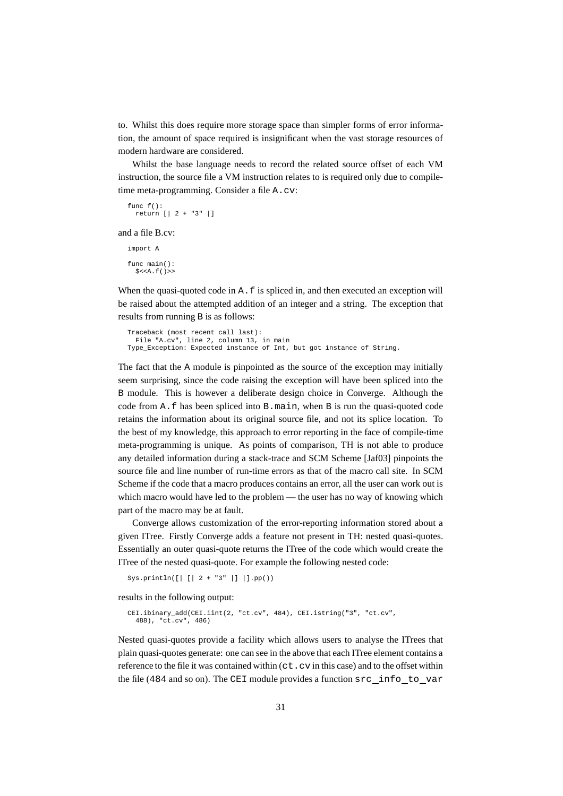to. Whilst this does require more storage space than simpler forms of error information, the amount of space required is insignificant when the vast storage resources of modern hardware are considered.

Whilst the base language needs to record the related source offset of each VM instruction, the source file a VM instruction relates to is required only due to compiletime meta-programming. Consider a file A.cv:

```
func f():
 return [| 2 + "3" |]
```
and a file B.cv:

import A func main():  $S << A$ ,  $f()>>$ 

When the quasi-quoted code in  $A \cdot f$  is spliced in, and then executed an exception will be raised about the attempted addition of an integer and a string. The exception that results from running B is as follows:

```
Traceback (most recent call last):
  File "A.cv", line 2, column 13, in main
Type_Exception: Expected instance of Int, but got instance of String.
```
The fact that the A module is pinpointed as the source of the exception may initially seem surprising, since the code raising the exception will have been spliced into the B module. This is however a deliberate design choice in Converge. Although the code from A.f has been spliced into B.main, when B is run the quasi-quoted code retains the information about its original source file, and not its splice location. To the best of my knowledge, this approach to error reporting in the face of compile-time meta-programming is unique. As points of comparison, TH is not able to produce any detailed information during a stack-trace and SCM Scheme [Jaf03] pinpoints the source file and line number of run-time errors as that of the macro call site. In SCM Scheme if the code that a macro produces contains an error, all the user can work out is which macro would have led to the problem — the user has no way of knowing which part of the macro may be at fault.

Converge allows customization of the error-reporting information stored about a given ITree. Firstly Converge adds a feature not present in TH: nested quasi-quotes. Essentially an outer quasi-quote returns the ITree of the code which would create the ITree of the nested quasi-quote. For example the following nested code:

Sys.println([|  $[ | 2 + "3" | ] | ] .pp($ ))

results in the following output:

```
CEI.ibinary_add(CEI.iint(2, "ct.cv", 484), CEI.istring("3", "ct.cv",
 488), "ct.cv", 486)
```
Nested quasi-quotes provide a facility which allows users to analyse the ITrees that plain quasi-quotes generate: one can see in the above that each ITree element contains a reference to the file it was contained within  $(ct \cdot cv)$  in this case) and to the offset within the file (484 and so on). The CEI module provides a function src info to var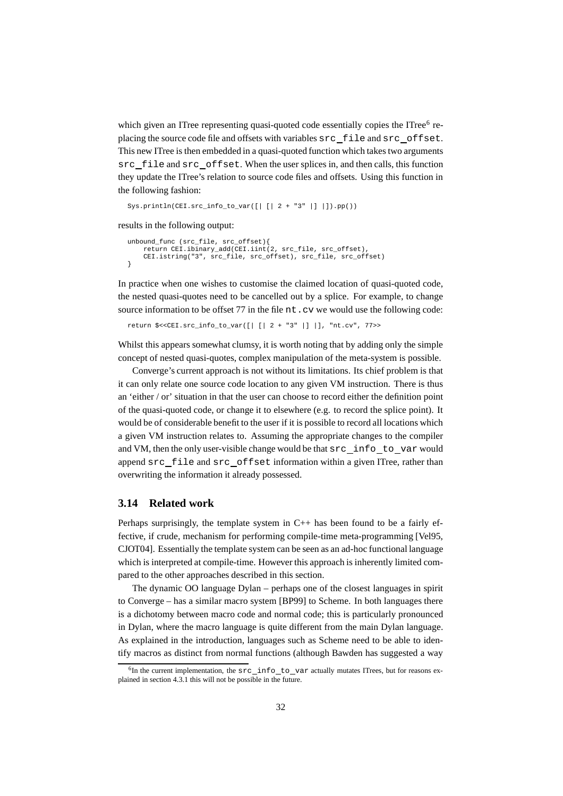which given an ITree representing quasi-quoted code essentially copies the ITree<sup>6</sup> replacing the source code file and offsets with variables src file and src offset. This new ITree is then embedded in a quasi-quoted function which takes two arguments src file and src offset. When the user splices in, and then calls, this function they update the ITree's relation to source code files and offsets. Using this function in the following fashion:

 $Sys.println(CEI.src_info_to_var([ | [ 2 + "3" | ] | ]).pp())$ 

results in the following output:

```
unbound_func (src_file, src_offset){
    return CEI.ibinary_add(CEI.iint(2, src_file, src_offset),
   CEI.istring("3", src_file, src_offset), src_file, src_offset)
}
```
In practice when one wishes to customise the claimed location of quasi-quoted code, the nested quasi-quotes need to be cancelled out by a splice. For example, to change source information to be offset 77 in the file  $nt$ .  $cv$  we would use the following code:

return \$<<CEI.src\_info\_to\_var([| [| 2 + "3" |] |], "nt.cv", 77>>

Whilst this appears somewhat clumsy, it is worth noting that by adding only the simple concept of nested quasi-quotes, complex manipulation of the meta-system is possible.

Converge's current approach is not without its limitations. Its chief problem is that it can only relate one source code location to any given VM instruction. There is thus an 'either / or' situation in that the user can choose to record either the definition point of the quasi-quoted code, or change it to elsewhere (e.g. to record the splice point). It would be of considerable benefit to the user if it is possible to record all locations which a given VM instruction relates to. Assuming the appropriate changes to the compiler and VM, then the only user-visible change would be that  $src\_info_to_var$  would append src file and src offset information within a given ITree, rather than overwriting the information it already possessed.

#### **3.14 Related work**

Perhaps surprisingly, the template system in  $C_{++}$  has been found to be a fairly effective, if crude, mechanism for performing compile-time meta-programming [Vel95, CJOT04]. Essentially the template system can be seen as an ad-hoc functional language which is interpreted at compile-time. However this approach is inherently limited compared to the other approaches described in this section.

The dynamic OO language Dylan – perhaps one of the closest languages in spirit to Converge – has a similar macro system [BP99] to Scheme. In both languages there is a dichotomy between macro code and normal code; this is particularly pronounced in Dylan, where the macro language is quite different from the main Dylan language. As explained in the introduction, languages such as Scheme need to be able to identify macros as distinct from normal functions (although Bawden has suggested a way

 ${}^{6}$ In the current implementation, the  $src\_info\_to\_var$  actually mutates ITrees, but for reasons explained in section 4.3.1 this will not be possible in the future.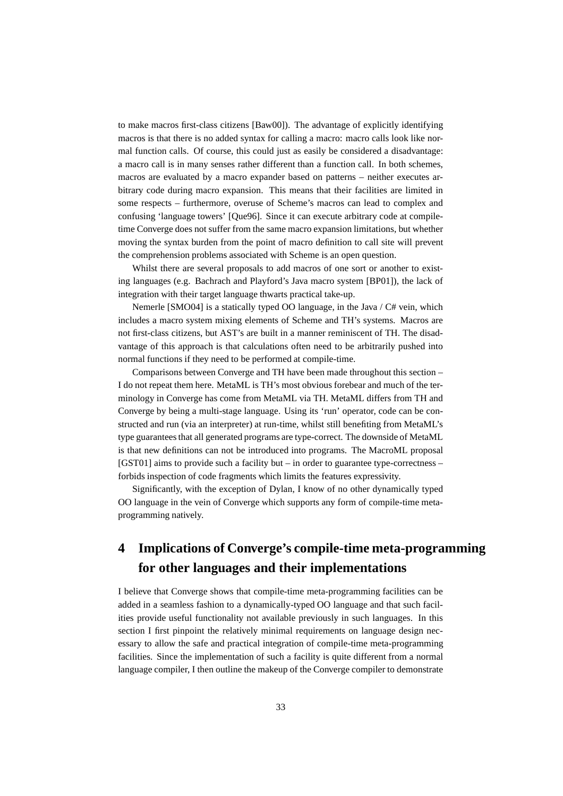to make macros first-class citizens [Baw00]). The advantage of explicitly identifying macros is that there is no added syntax for calling a macro: macro calls look like normal function calls. Of course, this could just as easily be considered a disadvantage: a macro call is in many senses rather different than a function call. In both schemes, macros are evaluated by a macro expander based on patterns – neither executes arbitrary code during macro expansion. This means that their facilities are limited in some respects – furthermore, overuse of Scheme's macros can lead to complex and confusing 'language towers' [Que96]. Since it can execute arbitrary code at compiletime Converge does not suffer from the same macro expansion limitations, but whether moving the syntax burden from the point of macro definition to call site will prevent the comprehension problems associated with Scheme is an open question.

Whilst there are several proposals to add macros of one sort or another to existing languages (e.g. Bachrach and Playford's Java macro system [BP01]), the lack of integration with their target language thwarts practical take-up.

Nemerle [SMO04] is a statically typed OO language, in the Java / C# vein, which includes a macro system mixing elements of Scheme and TH's systems. Macros are not first-class citizens, but AST's are built in a manner reminiscent of TH. The disadvantage of this approach is that calculations often need to be arbitrarily pushed into normal functions if they need to be performed at compile-time.

Comparisons between Converge and TH have been made throughout this section – I do not repeat them here. MetaML is TH's most obvious forebear and much of the terminology in Converge has come from MetaML via TH. MetaML differs from TH and Converge by being a multi-stage language. Using its 'run' operator, code can be constructed and run (via an interpreter) at run-time, whilst still benefiting from MetaML's type guaranteesthat all generated programs are type-correct. The downside of MetaML is that new definitions can not be introduced into programs. The MacroML proposal [GST01] aims to provide such a facility but – in order to guarantee type-correctness – forbids inspection of code fragments which limits the features expressivity.

Significantly, with the exception of Dylan, I know of no other dynamically typed OO language in the vein of Converge which supports any form of compile-time metaprogramming natively.

## **4 Implications of Converge's compile-time meta-programming for other languages and their implementations**

I believe that Converge shows that compile-time meta-programming facilities can be added in a seamless fashion to a dynamically-typed OO language and that such facilities provide useful functionality not available previously in such languages. In this section I first pinpoint the relatively minimal requirements on language design necessary to allow the safe and practical integration of compile-time meta-programming facilities. Since the implementation of such a facility is quite different from a normal language compiler, I then outline the makeup of the Converge compiler to demonstrate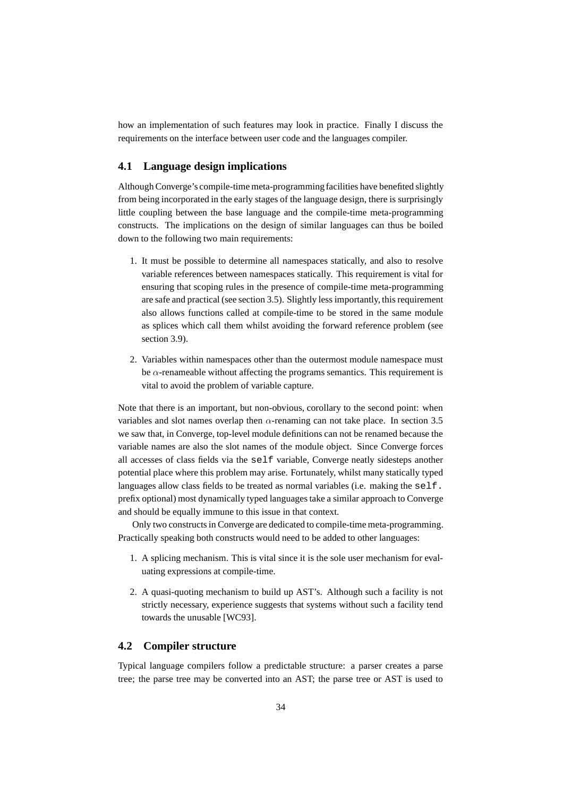how an implementation of such features may look in practice. Finally I discuss the requirements on the interface between user code and the languages compiler.

#### **4.1 Language design implications**

Although Converge's compile-time meta-programming facilities have benefited slightly from being incorporated in the early stages of the language design, there is surprisingly little coupling between the base language and the compile-time meta-programming constructs. The implications on the design of similar languages can thus be boiled down to the following two main requirements:

- 1. It must be possible to determine all namespaces statically, and also to resolve variable references between namespaces statically. This requirement is vital for ensuring that scoping rules in the presence of compile-time meta-programming are safe and practical (see section 3.5). Slightly less importantly, this requirement also allows functions called at compile-time to be stored in the same module as splices which call them whilst avoiding the forward reference problem (see section 3.9).
- 2. Variables within namespaces other than the outermost module namespace must be  $\alpha$ -renameable without affecting the programs semantics. This requirement is vital to avoid the problem of variable capture.

Note that there is an important, but non-obvious, corollary to the second point: when variables and slot names overlap then  $\alpha$ -renaming can not take place. In section 3.5 we saw that, in Converge, top-level module definitions can not be renamed because the variable names are also the slot names of the module object. Since Converge forces all accesses of class fields via the self variable, Converge neatly sidesteps another potential place where this problem may arise. Fortunately, whilst many statically typed languages allow class fields to be treated as normal variables (i.e. making the  $\text{self}$ . prefix optional) most dynamically typed languages take a similar approach to Converge and should be equally immune to this issue in that context.

Only two constructsin Converge are dedicated to compile-time meta-programming. Practically speaking both constructs would need to be added to other languages:

- 1. A splicing mechanism. This is vital since it is the sole user mechanism for evaluating expressions at compile-time.
- 2. A quasi-quoting mechanism to build up AST's. Although such a facility is not strictly necessary, experience suggests that systems without such a facility tend towards the unusable [WC93].

#### **4.2 Compiler structure**

Typical language compilers follow a predictable structure: a parser creates a parse tree; the parse tree may be converted into an AST; the parse tree or AST is used to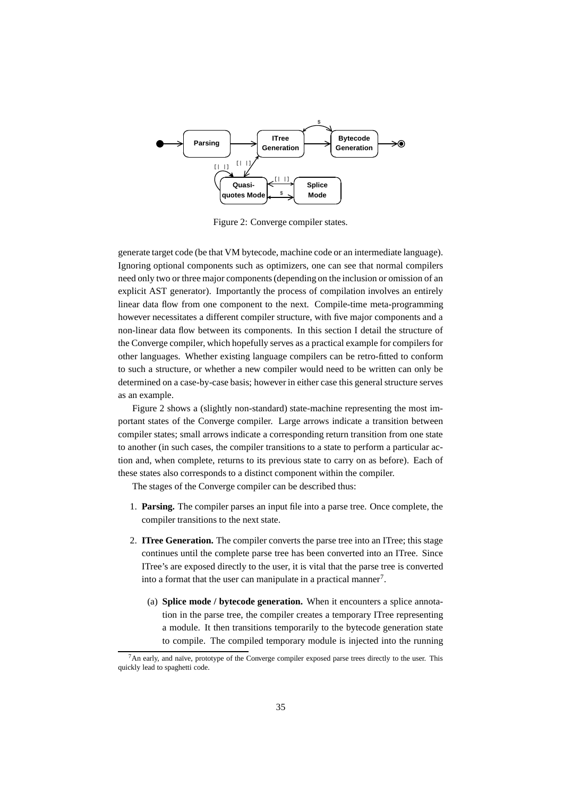

Figure 2: Converge compiler states.

generate target code (be that VM bytecode, machine code or an intermediate language). Ignoring optional components such as optimizers, one can see that normal compilers need only two or three major components(depending on the inclusion or omission of an explicit AST generator). Importantly the process of compilation involves an entirely linear data flow from one component to the next. Compile-time meta-programming however necessitates a different compiler structure, with five major components and a non-linear data flow between its components. In this section I detail the structure of the Converge compiler, which hopefully serves as a practical example for compilers for other languages. Whether existing language compilers can be retro-fitted to conform to such a structure, or whether a new compiler would need to be written can only be determined on a case-by-case basis; however in either case this general structure serves as an example.

Figure 2 shows a (slightly non-standard) state-machine representing the most important states of the Converge compiler. Large arrows indicate a transition between compiler states; small arrows indicate a corresponding return transition from one state to another (in such cases, the compiler transitions to a state to perform a particular action and, when complete, returns to its previous state to carry on as before). Each of these states also corresponds to a distinct component within the compiler.

The stages of the Converge compiler can be described thus:

- 1. **Parsing.** The compiler parses an input file into a parse tree. Once complete, the compiler transitions to the next state.
- 2. **ITree Generation.** The compiler converts the parse tree into an ITree; this stage continues until the complete parse tree has been converted into an ITree. Since ITree's are exposed directly to the user, it is vital that the parse tree is converted into a format that the user can manipulate in a practical manner<sup>7</sup>.
	- (a) **Splice mode / bytecode generation.** When it encounters a splice annotation in the parse tree, the compiler creates a temporary ITree representing a module. It then transitions temporarily to the bytecode generation state to compile. The compiled temporary module is injected into the running

 $<sup>7</sup>$ An early, and naïve, prototype of the Converge compiler exposed parse trees directly to the user. This</sup> quickly lead to spaghetti code.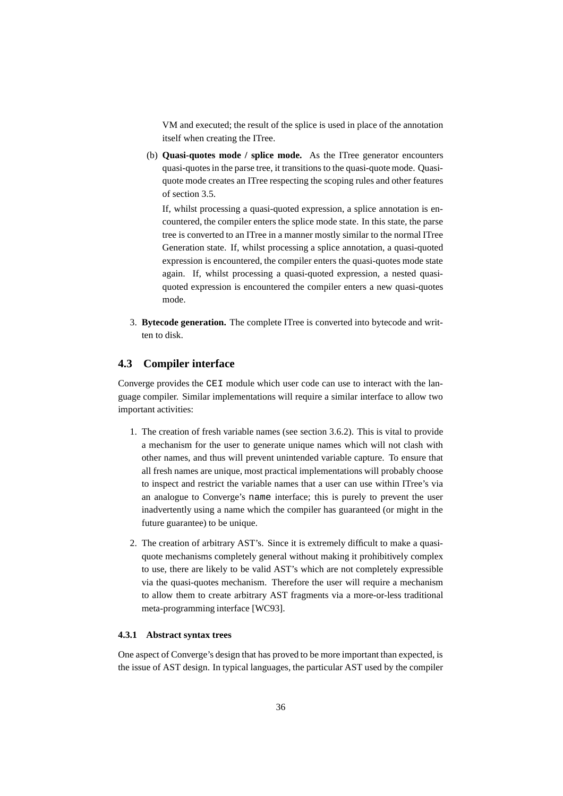VM and executed; the result of the splice is used in place of the annotation itself when creating the ITree.

(b) **Quasi-quotes mode / splice mode.** As the ITree generator encounters quasi-quotesin the parse tree, it transitions to the quasi-quote mode. Quasiquote mode creates an ITree respecting the scoping rules and other features of section 3.5.

If, whilst processing a quasi-quoted expression, a splice annotation is encountered, the compiler enters the splice mode state. In this state, the parse tree is converted to an ITree in a manner mostly similar to the normal ITree Generation state. If, whilst processing a splice annotation, a quasi-quoted expression is encountered, the compiler enters the quasi-quotes mode state again. If, whilst processing a quasi-quoted expression, a nested quasiquoted expression is encountered the compiler enters a new quasi-quotes mode.

3. **Bytecode generation.** The complete ITree is converted into bytecode and written to disk.

#### **4.3 Compiler interface**

Converge provides the CEI module which user code can use to interact with the language compiler. Similar implementations will require a similar interface to allow two important activities:

- 1. The creation of fresh variable names (see section 3.6.2). This is vital to provide a mechanism for the user to generate unique names which will not clash with other names, and thus will prevent unintended variable capture. To ensure that all fresh names are unique, most practical implementations will probably choose to inspect and restrict the variable names that a user can use within ITree's via an analogue to Converge's name interface; this is purely to prevent the user inadvertently using a name which the compiler has guaranteed (or might in the future guarantee) to be unique.
- 2. The creation of arbitrary AST's. Since it is extremely difficult to make a quasiquote mechanisms completely general without making it prohibitively complex to use, there are likely to be valid AST's which are not completely expressible via the quasi-quotes mechanism. Therefore the user will require a mechanism to allow them to create arbitrary AST fragments via a more-or-less traditional meta-programming interface [WC93].

#### **4.3.1 Abstract syntax trees**

One aspect of Converge's design that has proved to be more important than expected, is the issue of AST design. In typical languages, the particular AST used by the compiler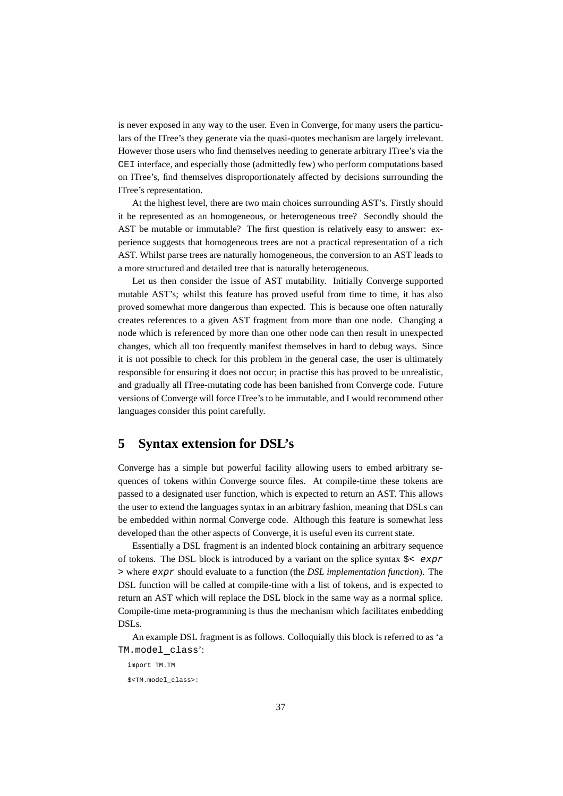is never exposed in any way to the user. Even in Converge, for many users the particulars of the ITree's they generate via the quasi-quotes mechanism are largely irrelevant. However those users who find themselves needing to generate arbitrary ITree's via the CEI interface, and especially those (admittedly few) who perform computations based on ITree's, find themselves disproportionately affected by decisions surrounding the ITree's representation.

At the highest level, there are two main choices surrounding AST's. Firstly should it be represented as an homogeneous, or heterogeneous tree? Secondly should the AST be mutable or immutable? The first question is relatively easy to answer: experience suggests that homogeneous trees are not a practical representation of a rich AST. Whilst parse trees are naturally homogeneous, the conversion to an AST leads to a more structured and detailed tree that is naturally heterogeneous.

Let us then consider the issue of AST mutability. Initially Converge supported mutable AST's; whilst this feature has proved useful from time to time, it has also proved somewhat more dangerous than expected. This is because one often naturally creates references to a given AST fragment from more than one node. Changing a node which is referenced by more than one other node can then result in unexpected changes, which all too frequently manifest themselves in hard to debug ways. Since it is not possible to check for this problem in the general case, the user is ultimately responsible for ensuring it does not occur; in practise this has proved to be unrealistic, and gradually all ITree-mutating code has been banished from Converge code. Future versions of Converge will force ITree's to be immutable, and I would recommend other languages consider this point carefully.

### **5 Syntax extension for DSL's**

Converge has a simple but powerful facility allowing users to embed arbitrary sequences of tokens within Converge source files. At compile-time these tokens are passed to a designated user function, which is expected to return an AST. This allows the user to extend the languages syntax in an arbitrary fashion, meaning that DSLs can be embedded within normal Converge code. Although this feature is somewhat less developed than the other aspects of Converge, it is useful even its current state.

Essentially a DSL fragment is an indented block containing an arbitrary sequence of tokens. The DSL block is introduced by a variant on the splice syntax  $\zeta \leq \exp(r)$ > where expr should evaluate to a function (the *DSL implementation function*). The DSL function will be called at compile-time with a list of tokens, and is expected to return an AST which will replace the DSL block in the same way as a normal splice. Compile-time meta-programming is thus the mechanism which facilitates embedding DSLs.

An example DSL fragment is as follows. Colloquially this block is referred to as 'a TM.model class':

import TM.TM

<sup>\$&</sup>lt;TM.model\_class>: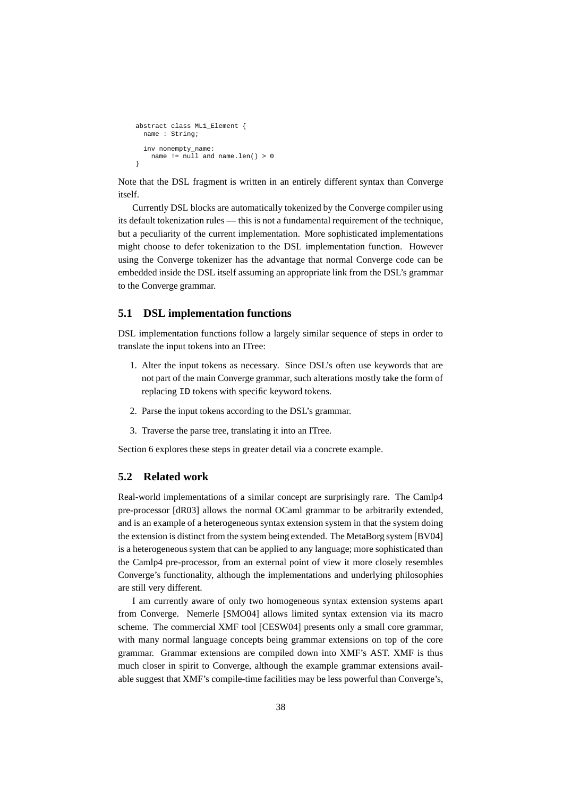```
abstract class ML1_Element {
 name : String;
  inv nonempty_name:
   name != null and name.len() > 0
}
```
Note that the DSL fragment is written in an entirely different syntax than Converge itself.

Currently DSL blocks are automatically tokenized by the Converge compiler using its default tokenization rules — this is not a fundamental requirement of the technique, but a peculiarity of the current implementation. More sophisticated implementations might choose to defer tokenization to the DSL implementation function. However using the Converge tokenizer has the advantage that normal Converge code can be embedded inside the DSL itself assuming an appropriate link from the DSL's grammar to the Converge grammar.

#### **5.1 DSL implementation functions**

DSL implementation functions follow a largely similar sequence of steps in order to translate the input tokens into an ITree:

- 1. Alter the input tokens as necessary. Since DSL's often use keywords that are not part of the main Converge grammar, such alterations mostly take the form of replacing ID tokens with specific keyword tokens.
- 2. Parse the input tokens according to the DSL's grammar.
- 3. Traverse the parse tree, translating it into an ITree.

Section 6 explores these steps in greater detail via a concrete example.

#### **5.2 Related work**

Real-world implementations of a similar concept are surprisingly rare. The Camlp4 pre-processor [dR03] allows the normal OCaml grammar to be arbitrarily extended, and is an example of a heterogeneoussyntax extension system in that the system doing the extension is distinct from the system being extended. The MetaBorg system [BV04] is a heterogeneoussystem that can be applied to any language; more sophisticated than the Camlp4 pre-processor, from an external point of view it more closely resembles Converge's functionality, although the implementations and underlying philosophies are still very different.

I am currently aware of only two homogeneous syntax extension systems apart from Converge. Nemerle [SMO04] allows limited syntax extension via its macro scheme. The commercial XMF tool [CESW04] presents only a small core grammar, with many normal language concepts being grammar extensions on top of the core grammar. Grammar extensions are compiled down into XMF's AST. XMF is thus much closer in spirit to Converge, although the example grammar extensions available suggest that XMF's compile-time facilities may be less powerful than Converge's,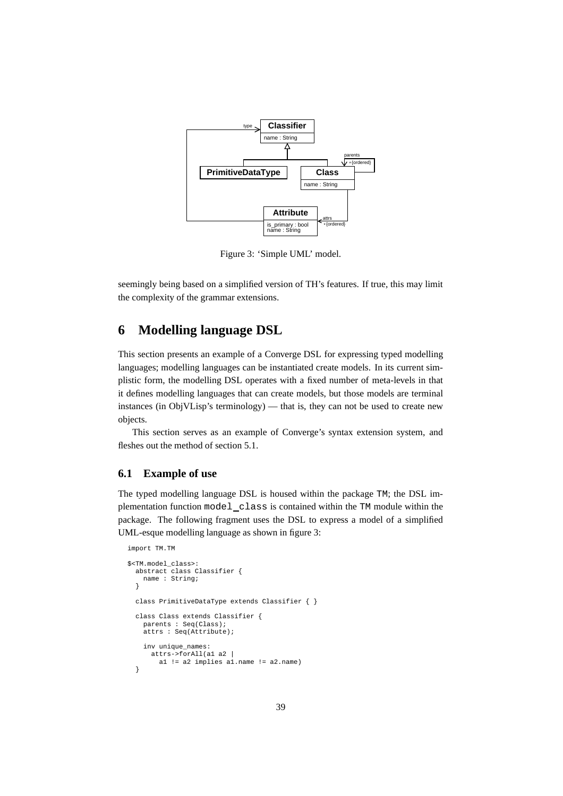

Figure 3: 'Simple UML' model.

seemingly being based on a simplified version of TH's features. If true, this may limit the complexity of the grammar extensions.

### **6 Modelling language DSL**

This section presents an example of a Converge DSL for expressing typed modelling languages; modelling languages can be instantiated create models. In its current simplistic form, the modelling DSL operates with a fixed number of meta-levels in that it defines modelling languages that can create models, but those models are terminal instances (in ObjVLisp's terminology) — that is, they can not be used to create new objects.

This section serves as an example of Converge's syntax extension system, and fleshes out the method of section 5.1.

#### **6.1 Example of use**

The typed modelling language DSL is housed within the package TM; the DSL implementation function model\_class is contained within the TM module within the package. The following fragment uses the DSL to express a model of a simplified UML-esque modelling language as shown in figure 3:

```
import TM.TM
$<TM.model_class>:
  abstract class Classifier {
   name : String;
  }
  class PrimitiveDataType extends Classifier { }
  class Class extends Classifier {
   parents : Seq(Class);
    attrs : Seq(Attribute);
    inv unique_names:
      attrs->forAll(a1 a2 |
        a1 != a2 implies a1.name != a2.name)
  }
```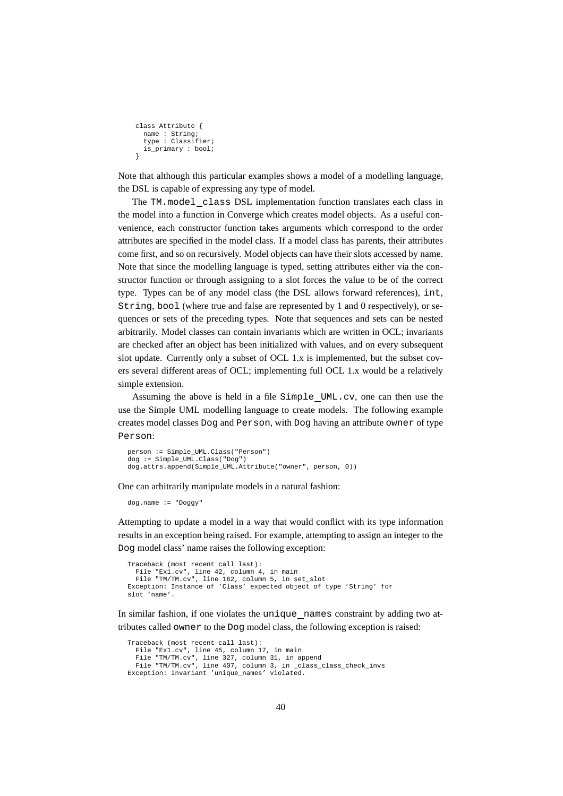```
class Attribute {
   name : String;<br>type : Classifier;
  is_primary : bool;
}
```
Note that although this particular examples shows a model of a modelling language, the DSL is capable of expressing any type of model.

The TM.model class DSL implementation function translates each class in the model into a function in Converge which creates model objects. As a useful convenience, each constructor function takes arguments which correspond to the order attributes are specified in the model class. If a model class has parents, their attributes come first, and so on recursively. Model objects can have their slots accessed by name. Note that since the modelling language is typed, setting attributes either via the constructor function or through assigning to a slot forces the value to be of the correct type. Types can be of any model class (the DSL allows forward references), int, String, bool (where true and false are represented by 1 and 0 respectively), or sequences or sets of the preceding types. Note that sequences and sets can be nested arbitrarily. Model classes can contain invariants which are written in OCL; invariants are checked after an object has been initialized with values, and on every subsequent slot update. Currently only a subset of OCL 1. $x$  is implemented, but the subset covers several different areas of OCL; implementing full OCL 1.x would be a relatively simple extension.

Assuming the above is held in a file Simple UML.cv, one can then use the use the Simple UML modelling language to create models. The following example creates model classes Dog and Person, with Dog having an attribute owner of type Person:

```
person := Simple_UML.Class("Person")
dog := Simple_UML.Class("Dog")
dog.attrs.append(Simple_UML.Attribute("owner", person, 0))
```
One can arbitrarily manipulate models in a natural fashion:

dog.name := "Doggy"

Attempting to update a model in a way that would conflict with its type information results in an exception being raised. For example, attempting to assign an integer to the Dog model class' name raises the following exception:

```
Traceback (most recent call last):
  File "Ex1.cv", line 42, column 4, in main
  File "TM/TM.cv", line 162, column 5, in set_slot
Exception: Instance of 'Class' expected object of type 'String' for
slot 'name'.
```
In similar fashion, if one violates the unique names constraint by adding two attributes called owner to the Dog model class, the following exception is raised:

```
Traceback (most recent call last):
  File "Ex1.cv", line 45, column 17, in main
  File "TM/TM.cv", line 327, column 31, in append
  File "TM/TM.cv", line 407, column 3, in _class_class_check_invs
Exception: Invariant 'unique_names' violated.
```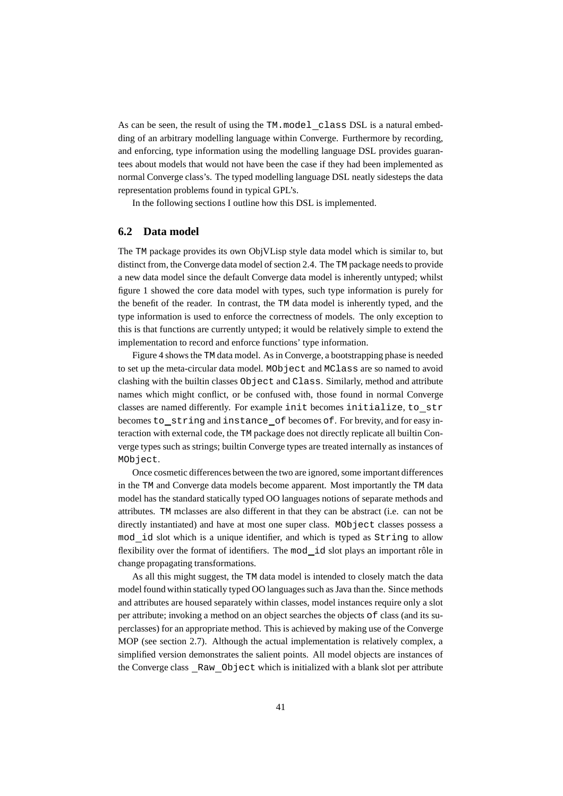As can be seen, the result of using the TM.model class DSL is a natural embedding of an arbitrary modelling language within Converge. Furthermore by recording, and enforcing, type information using the modelling language DSL provides guarantees about models that would not have been the case if they had been implemented as normal Converge class's. The typed modelling language DSL neatly sidesteps the data representation problems found in typical GPL's.

In the following sections I outline how this DSL is implemented.

#### **6.2 Data model**

The TM package provides its own ObjVLisp style data model which is similar to, but distinct from, the Converge data model of section 2.4. The  $TM$  package needs to provide a new data model since the default Converge data model is inherently untyped; whilst figure 1 showed the core data model with types, such type information is purely for the benefit of the reader. In contrast, the TM data model is inherently typed, and the type information is used to enforce the correctness of models. The only exception to this is that functions are currently untyped; it would be relatively simple to extend the implementation to record and enforce functions' type information.

Figure 4 shows the TM data model. As in Converge, a bootstrapping phase is needed to set up the meta-circular data model. MObject and MClass are so named to avoid clashing with the builtin classes Object and Class. Similarly, method and attribute names which might conflict, or be confused with, those found in normal Converge classes are named differently. For example init becomes initialize, to str becomes to string and instance of becomes of. For brevity, and for easy interaction with external code, the TM package does not directly replicate all builtin Converge types such as strings; builtin Converge types are treated internally as instances of MObject.

Once cosmetic differences between the two are ignored, some important differences in the TM and Converge data models become apparent. Most importantly the TM data model has the standard statically typed OO languages notions of separate methods and attributes. TM mclasses are also different in that they can be abstract (i.e. can not be directly instantiated) and have at most one super class. MObject classes possess a mod id slot which is a unique identifier, and which is typed as String to allow flexibility over the format of identifiers. The mod id slot plays an important rôle in change propagating transformations.

As all this might suggest, the TM data model is intended to closely match the data model found within statically typed OO languages such as Java than the. Since methods and attributes are housed separately within classes, model instances require only a slot per attribute; invoking a method on an object searches the objects of class (and its superclasses) for an appropriate method. This is achieved by making use of the Converge MOP (see section 2.7). Although the actual implementation is relatively complex, a simplified version demonstrates the salient points. All model objects are instances of the Converge class Raw Object which is initialized with a blank slot per attribute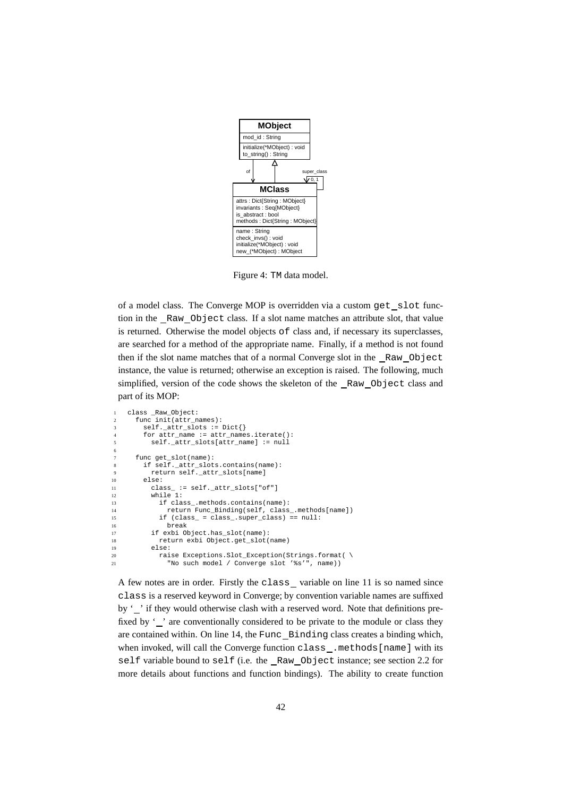

Figure 4: TM data model.

of a model class. The Converge MOP is overridden via a custom get slot function in the Raw Object class. If a slot name matches an attribute slot, that value is returned. Otherwise the model objects of class and, if necessary its superclasses, are searched for a method of the appropriate name. Finally, if a method is not found then if the slot name matches that of a normal Converge slot in the Raw Object instance, the value is returned; otherwise an exception is raised. The following, much simplified, version of the code shows the skeleton of the \_Raw\_Object class and part of its MOP:

```
class _Raw_Object:
      func init(attr_names):
       self.\_attr\_plots := Dict{}for attr_name := attr_names.iterate():
          5 self._attr_slots[attr_name] := null
 6
 7 func get_slot(name):
 8 if self._attr_slots.contains(name):
9 return self._attr_slots[name]<br>10 else:
        else:
11 class_ := self._attr_slots["of"]
12 while 1:
13 if class_.methods.contains(name):
14 return Func_Binding(self, class_.methods[name])
15 if (class_ = class_.super_class) == null:
16 break<br>17 if exbi 0
          if exbi Object.has_slot(name):
18 return exbi Object.get_slot(name)
19 else:
20 raise Exceptions.Slot_Exception(Strings.format()<br>21 Tho such model / Converge slot.'%s'", name))
              21 "No such model / Converge slot '%s'", name))
```
A few notes are in order. Firstly the class variable on line 11 is so named since class is a reserved keyword in Converge; by convention variable names are suffixed by ' ' if they would otherwise clash with a reserved word. Note that definitions prefixed by '\_' are conventionally considered to be private to the module or class they are contained within. On line 14, the Func\_Binding class creates a binding which, when invoked, will call the Converge function class .methods[name] with its self variable bound to self (i.e. the Raw Object instance; see section 2.2 for more details about functions and function bindings). The ability to create function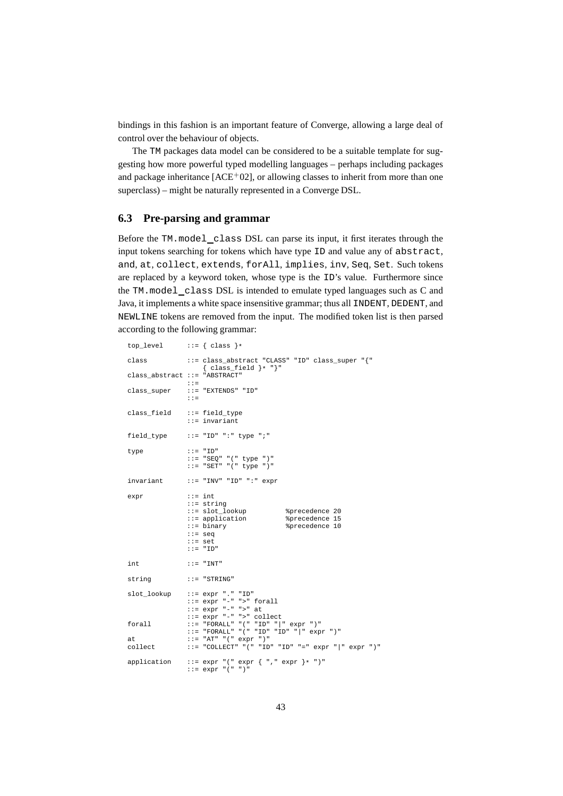bindings in this fashion is an important feature of Converge, allowing a large deal of control over the behaviour of objects.

The TM packages data model can be considered to be a suitable template for suggesting how more powerful typed modelling languages – perhaps including packages and package inheritance  $[ACE^+02]$ , or allowing classes to inherit from more than one superclass) – might be naturally represented in a Converge DSL.

#### **6.3 Pre-parsing and grammar**

Before the TM.model class DSL can parse its input, it first iterates through the input tokens searching for tokens which have type ID and value any of abstract, and, at, collect, extends, forAll, implies, inv, Seq, Set. Such tokens are replaced by a keyword token, whose type is the ID's value. Furthermore since the TM.model class DSL is intended to emulate typed languages such as C and Java, it implements a white space insensitive grammar; thus all INDENT, DEDENT, and NEWLINE tokens are removed from the input. The modified token list is then parsed according to the following grammar:

```
top\_level ::= { class }*
class ::= class_abstract "CLASS" "ID" class_super "{"
                    { \class_field } * "}'class_abstract ::= "ABSTRACT"
               ::=
class_super ::= "EXTENDS" "ID"
               : : =class_field ::= field_type
               ::= invariant
field type ::= "ID" "::" type ";"type ::= "ID"
               ::= "SEQ" "(" type ")"
               ::= "SET" "(" type ")"
invariant ::= "INV" "ID" ":" expr
expr ::= int
               ::= string
                ::= slot_lookup %precedence 20
               ::= application %precedence 15
                                          %precedence 10
               ::= seq
                ::= set
               ::= "ID"
int ::= "INT"
string ::= "STRING"
slot_lookup ::= expr "." "ID"
                ::= expr "-" ">" forall
::= expr "-" ">" at
               ::= \text{expr} "-" "> collect
forall ::= "FORALL" "(" "ID" "|" expr ")"
::= "FORALL" "(" "ID" "ID" "|" expr ")"<br>at            ::= "AT" "(" expr ")"<br>collect         ::= "COLLECT" "(" "ID" "ID" "=" expr "|" expr ")"
application ::= \expr "(" \exp { "," \expr }* ")"<br>::= \expr "(" ")"
```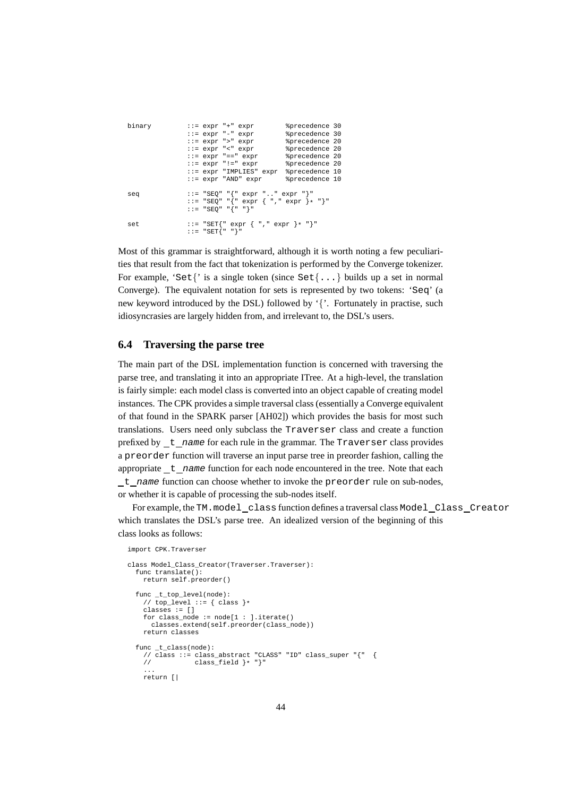| binary | $::=$ expr $"+"$ expr    |                                   | %precedence 30                         |  |
|--------|--------------------------|-----------------------------------|----------------------------------------|--|
|        | ::= expr "-" expr        |                                   | %precedence 30                         |  |
|        | $::=$ $expr ">}"$ $expr$ |                                   | %precedence 20                         |  |
|        | ::= expr "<" expr        |                                   | %precedence 20                         |  |
|        | ::= expr "==" expr       |                                   | %precedence 20                         |  |
|        | $::=$ expr "!=" expr     |                                   | %precedence 20                         |  |
|        |                          |                                   | ::= expr "IMPLIES" expr %precedence 10 |  |
|        | ::= expr "AND" expr      |                                   | %precedence 10                         |  |
| seq    | $: := "SEO" "{'''} "}'$  | ::= "SEQ" "{" expr "" expr "}"    | ::= "SEQ" "{" expr { "," expr }* "}"   |  |
| set    | $: := "SET{ " " }$       | ::= "SET{" expr { "," expr }* "}" |                                        |  |

Most of this grammar is straightforward, although it is worth noting a few peculiarities that result from the fact that tokenization is performed by the Converge tokenizer. For example, 'Set {' is a single token (since  $Set\{\ldots\}$  builds up a set in normal Converge). The equivalent notation for sets is represented by two tokens: 'Seq' (a new keyword introduced by the DSL) followed by '{'. Fortunately in practise, such idiosyncrasies are largely hidden from, and irrelevant to, the DSL's users.

#### **6.4 Traversing the parse tree**

The main part of the DSL implementation function is concerned with traversing the parse tree, and translating it into an appropriate ITree. At a high-level, the translation is fairly simple: each model class is converted into an object capable of creating model instances. The CPK provides a simple traversal class (essentially a Converge equivalent of that found in the SPARK parser [AH02]) which provides the basis for most such translations. Users need only subclass the Traverser class and create a function prefixed by t name for each rule in the grammar. The Traverser class provides a preorder function will traverse an input parse tree in preorder fashion, calling the appropriate t name function for each node encountered in the tree. Note that each t name function can choose whether to invoke the preorder rule on sub-nodes, or whether it is capable of processing the sub-nodes itself.

For example, the TM.model class function defines a traversal class Model Class Creator which translates the DSL's parse tree. An idealized version of the beginning of this class looks as follows:

```
import CPK.Traverser
class Model_Class_Creator(Traverser.Traverser):
  func translate():
   return self.preorder()
  func _t_top_level(node):
    // top_level ::= { class }*
    classes := []for class_node := node[1 : ].iterate()
     classes.extend(self.preorder(class_node))
    return classes
  func _t_class(node):
    // class ::= class_abstract "CLASS" "ID" class_super "{" {
                // class_field }* "}"
    ...
    return [|
```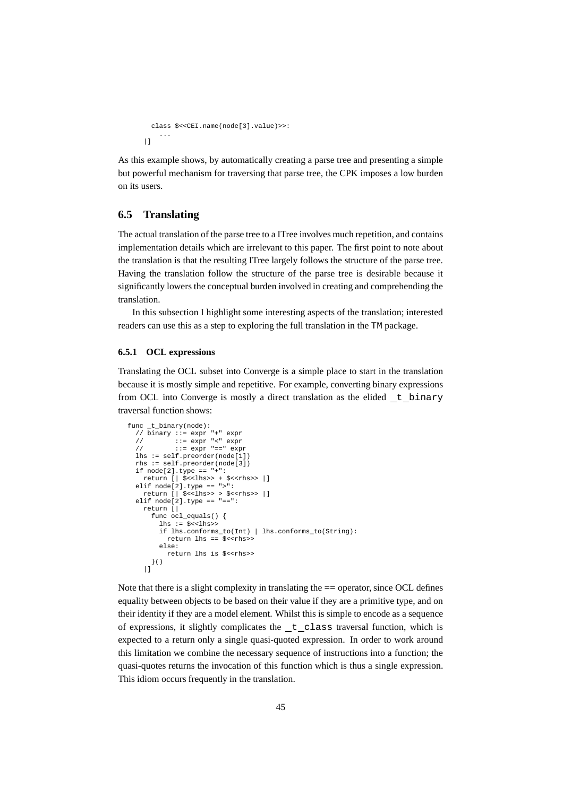```
class $<<CEI.name(node[3].value)>>:
    ...
|]
```
As this example shows, by automatically creating a parse tree and presenting a simple but powerful mechanism for traversing that parse tree, the CPK imposes a low burden on its users.

#### **6.5 Translating**

The actual translation of the parse tree to a ITree involves much repetition, and contains implementation details which are irrelevant to this paper. The first point to note about the translation is that the resulting ITree largely follows the structure of the parse tree. Having the translation follow the structure of the parse tree is desirable because it significantly lowers the conceptual burden involved in creating and comprehending the translation.

In this subsection I highlight some interesting aspects of the translation; interested readers can use this as a step to exploring the full translation in the TM package.

#### **6.5.1 OCL expressions**

Translating the OCL subset into Converge is a simple place to start in the translation because it is mostly simple and repetitive. For example, converting binary expressions from OCL into Converge is mostly a direct translation as the elided \_t\_binary traversal function shows:

```
func _t_binary(node):
    // binary \begin{array}{ll} \therefore & \text{if } x = 0 \text{ if } x = 0 \text{ if } x = 0 \text{ if } x = 0 \text{ if } x = 0 \text{ if } x = 0 \text{ if } x = 0 \text{ if } x = 0 \text{ if } x = 0 \text{ if } x = 0 \text{ if } x = 0 \text{ if } x = 0 \text{ if } x = 0 \text{ if } x = 0 \text{ if } x = 0 \text{ if } x = 0 \text{ if } x = 0 \text{ if } x = 0 \text{ if } x = 0 \text{ if } x = 0 \text{ if } x = 0 \text{ if } x = 0 \// ::= expr "<" expr<br>// ::= expr "<" expr<br>// ::= expr "==" exp
                           ::= \exp r "==" \exp rlhs := self.preorder(node[1])
    rhs := self.preorder(node[3])
     if node[2].type == "+":
return [| $<<lhs>> + $<<rhs>> |]
elif node[2].type == ">":
     return [| $<<lhs>> > $<<rhs>> |]<br>elif node[2].type == "==":
         return [|
              func ocl_equals() {
                    lhs := $<<llhs>>if lhs.conforms_to(Int) | lhs.conforms_to(String):
return lhs == $<<rhs>>
                    else:
                         return lhs is $<<rhs>>
              }()
          |]
```
Note that there is a slight complexity in translating the == operator, since OCL defines equality between objects to be based on their value if they are a primitive type, and on their identity if they are a model element. Whilst this is simple to encode as a sequence of expressions, it slightly complicates the  $t$  class traversal function, which is expected to a return only a single quasi-quoted expression. In order to work around this limitation we combine the necessary sequence of instructions into a function; the quasi-quotes returns the invocation of this function which is thus a single expression. This idiom occurs frequently in the translation.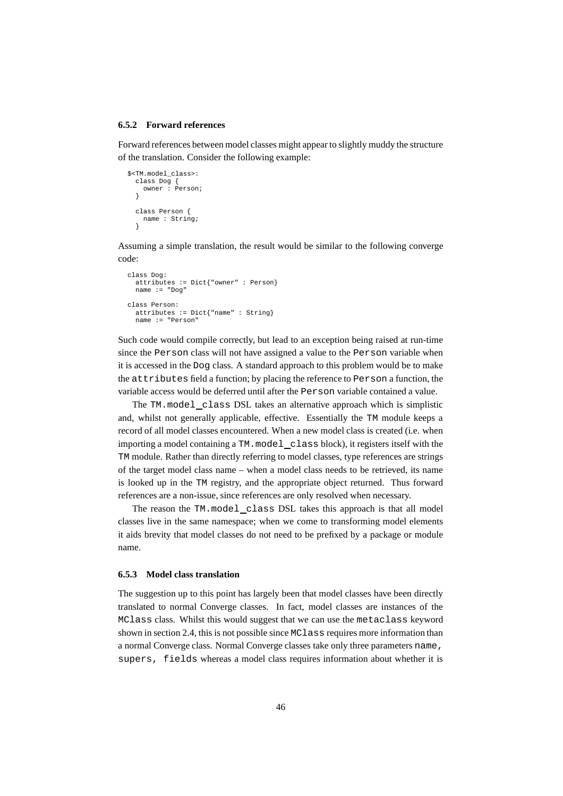#### **6.5.2 Forward references**

Forward references between model classes might appear to slightly muddy the structure of the translation. Consider the following example:

```
$<TM.model_class>:
  class Dog {
owner : Person;
  }
  class Person {
    name : String;
  }
```
Assuming a simple translation, the result would be similar to the following converge code:

```
class Dog:
  attributes := Dict{"owner" : Person}
  name := "Dog"
class Person:
  attributes := Dict{"name" : String}
  name := "Person"
```
Such code would compile correctly, but lead to an exception being raised at run-time since the Person class will not have assigned a value to the Person variable when it is accessed in the Dog class. A standard approach to this problem would be to make the attributes field a function; by placing the reference to Person a function, the variable access would be deferred until after the Person variable contained a value.

The TM.model class DSL takes an alternative approach which is simplistic and, whilst not generally applicable, effective. Essentially the TM module keeps a record of all model classes encountered. When a new model class is created (i.e. when importing a model containing a TM.model class block), it registers itself with the TM module. Rather than directly referring to model classes, type references are strings of the target model class name – when a model class needs to be retrieved, its name is looked up in the TM registry, and the appropriate object returned. Thus forward references are a non-issue, since references are only resolved when necessary.

The reason the TM.model class DSL takes this approach is that all model classes live in the same namespace; when we come to transforming model elements it aids brevity that model classes do not need to be prefixed by a package or module name.

#### **6.5.3 Model class translation**

The suggestion up to this point has largely been that model classes have been directly translated to normal Converge classes. In fact, model classes are instances of the MClass class. Whilst this would suggest that we can use the metaclass keyword shown in section 2.4, this is not possible since MClass requires more information than a normal Converge class. Normal Converge classes take only three parameters name, supers, fields whereas a model class requires information about whether it is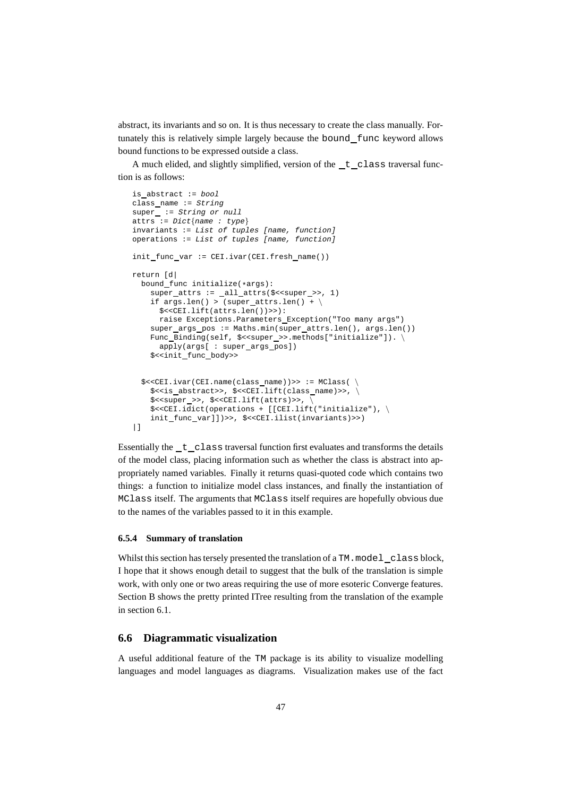abstract, its invariants and so on. It is thus necessary to create the class manually. Fortunately this is relatively simple largely because the bound func keyword allows bound functions to be expressed outside a class.

A much elided, and slightly simplified, version of the t class traversal function is as follows:

```
is abstract := bool
class_name := Stringsuper_ := String or nullattrs := Dict{name : type}
invariants := List of tuples [name, function]
operations := List of tuples [name, function]
init\_func\_var := CEI.ivar(CEI.fresh\_name())return [d|
 bound func initialize(*args):
    super_attrs := _all_attrs($<<super_>>, 1)
    if args.length() > (super_atters.length() + \n$<<CEI.lift(attrs.len())>>):
     raise Exceptions.Parameters Exception("Too many args")
    super_args_pos := Maths.min(super_attrs.len(), args.len())
    Func_Binding(self, $<<super_>>.methods["initialize"]). \
      apply(args[ : super_args_pos])
    $<<init func body>>
  $<<CEI.ivar(CEI.name(class name))>> := MClass( \
    $<<is abstract>>, $<<CEI.lift(class name)>>, \
    $<<super >>, $<<CEI.lift(attrs)>>, \
    $<<CEI.idict(operations + [[CEI.lift("initialize"), \
    init func var]])>>, $<<CEI.ilist(invariants)>>)
|]
```
Essentially the  $\pm$  class traversal function first evaluates and transforms the details of the model class, placing information such as whether the class is abstract into appropriately named variables. Finally it returns quasi-quoted code which contains two things: a function to initialize model class instances, and finally the instantiation of MClass itself. The arguments that MClass itself requires are hopefully obvious due to the names of the variables passed to it in this example.

#### **6.5.4 Summary of translation**

Whilst this section has tersely presented the translation of a TM.model\_class block, I hope that it shows enough detail to suggest that the bulk of the translation is simple work, with only one or two areas requiring the use of more esoteric Converge features. Section B shows the pretty printed ITree resulting from the translation of the example in section 6.1.

#### **6.6 Diagrammatic visualization**

A useful additional feature of the TM package is its ability to visualize modelling languages and model languages as diagrams. Visualization makes use of the fact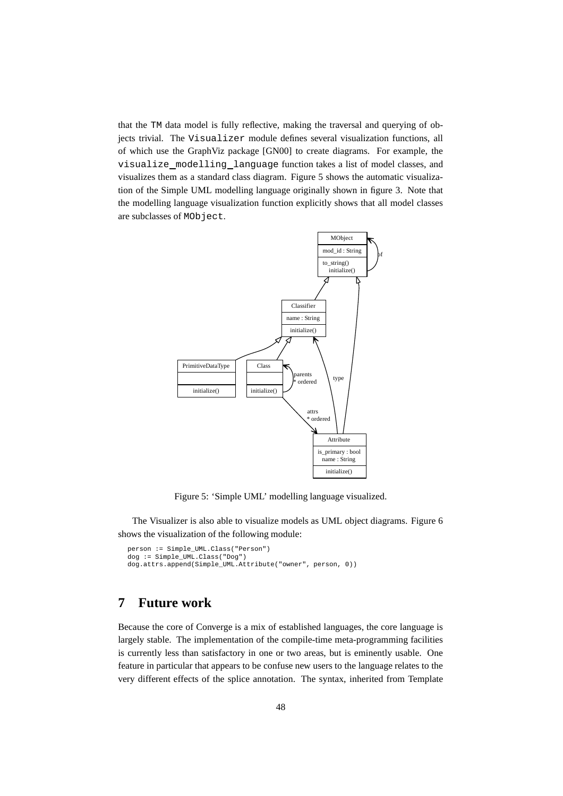that the TM data model is fully reflective, making the traversal and querying of objects trivial. The Visualizer module defines several visualization functions, all of which use the GraphViz package [GN00] to create diagrams. For example, the visualize modelling language function takes a list of model classes, and visualizes them as a standard class diagram. Figure 5 shows the automatic visualization of the Simple UML modelling language originally shown in figure 3. Note that the modelling language visualization function explicitly shows that all model classes are subclasses of MObject.



Figure 5: 'Simple UML' modelling language visualized.

The Visualizer is also able to visualize models as UML object diagrams. Figure 6 shows the visualization of the following module:

```
person := Simple_UML.Class("Person")
dog := Simple_UML.Class("Dog")
dog.attrs.append(Simple_UML.Attribute("owner", person, 0))
```
### **7 Future work**

Because the core of Converge is a mix of established languages, the core language is largely stable. The implementation of the compile-time meta-programming facilities is currently less than satisfactory in one or two areas, but is eminently usable. One feature in particular that appears to be confuse new users to the language relates to the very different effects of the splice annotation. The syntax, inherited from Template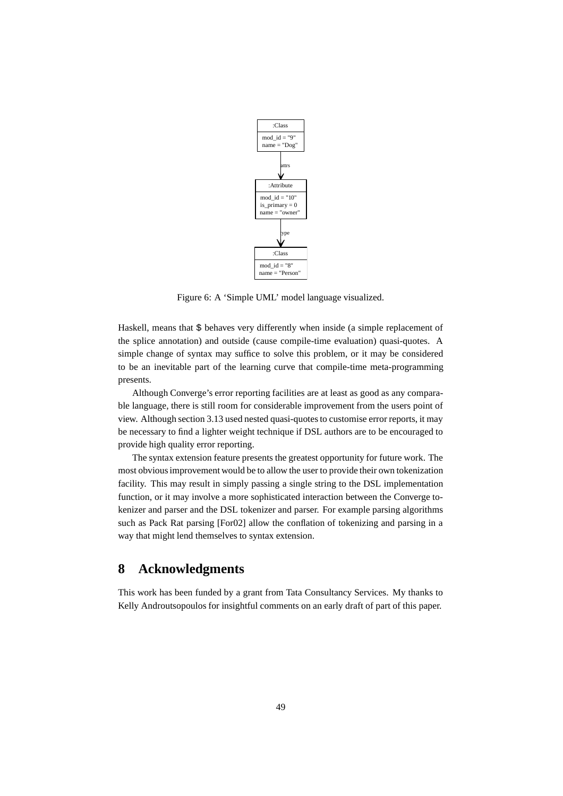

Figure 6: A 'Simple UML' model language visualized.

Haskell, means that  $\ddot{s}$  behaves very differently when inside (a simple replacement of the splice annotation) and outside (cause compile-time evaluation) quasi-quotes. A simple change of syntax may suffice to solve this problem, or it may be considered to be an inevitable part of the learning curve that compile-time meta-programming presents.

Although Converge's error reporting facilities are at least as good as any comparable language, there is still room for considerable improvement from the users point of view. Although section 3.13 used nested quasi-quotes to customise error reports, it may be necessary to find a lighter weight technique if DSL authors are to be encouraged to provide high quality error reporting.

The syntax extension feature presents the greatest opportunity for future work. The most obviousimprovement would be to allow the user to provide their own tokenization facility. This may result in simply passing a single string to the DSL implementation function, or it may involve a more sophisticated interaction between the Converge tokenizer and parser and the DSL tokenizer and parser. For example parsing algorithms such as Pack Rat parsing [For02] allow the conflation of tokenizing and parsing in a way that might lend themselves to syntax extension.

### **8 Acknowledgments**

This work has been funded by a grant from Tata Consultancy Services. My thanks to Kelly Androutsopoulos for insightful comments on an early draft of part of this paper.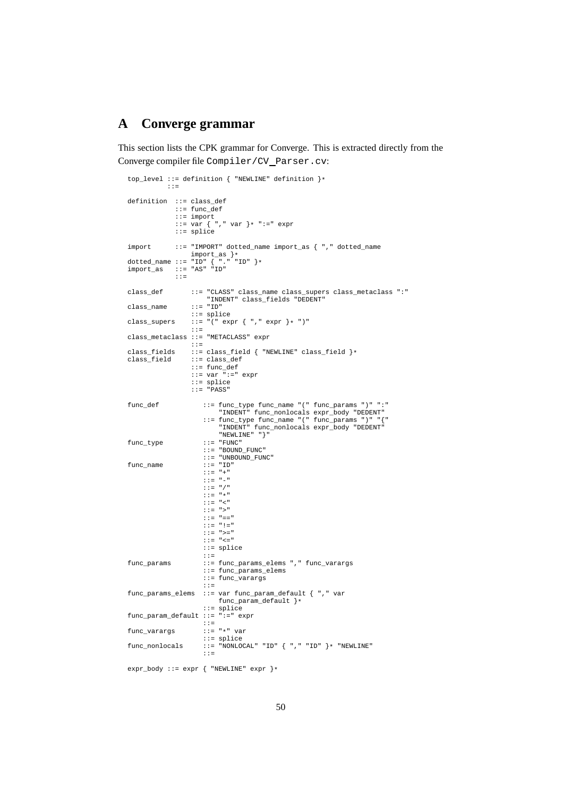### **A Converge grammar**

This section lists the CPK grammar for Converge. This is extracted directly from the Converge compiler file Compiler/CV\_Parser.cv:

```
top_level ::= definition { "NEWLINE" definition }*
           ::=
definition ::= class_def
             ::= func_def
              ::= import
::= var { "," var }* ":=" expr
             ::= splice
import ::= "IMPORT" dotted_name import_as { "," dotted_name
import_as }*
dotted_name ::= "ID" { "." "ID" }*
import_as ::= "AS" "ID"
             ::=
class_def ::= "CLASS" class_name class_supers class_metaclass ":"
                "INDENT" class_fields "DEDENT"<br>::= "ID"
class_name
                  ::= splice
class_supers ::= "(" expr { "," expr }* ")"
                 ::=
class_metaclass ::= "METACLASS" expr
                 ::=
\begin{tabular}{ll} class_fieds &::= class_fied & "NEWLINE" class_field &\s{*} \\ class_fied &::= class_def \end{tabular}::= class_def
                  ::= func_def
                  ::= var ":=" expr
                  ::= splice
                 : := "PASS"
func_def ::= func_type func_name "(" func_params ")" ":"
                     "INDENT" func_nonlocals expr_body "DEDENT"
::= func_type func_name "(" func_params ")" "{"
                          "INDENT" func_nonlocals expr_body "DEDENT"
                         "NEWLINE" "}"
func_type ::= "FUNC"
                     ::= "BOUND_FUNC"
                     ::= "UNBOUND_FUNC"
func_name ::= "ID"
                     ::= "+"
                     ::= "-"
                     ::= "/"
::= "*"
                     ::= "<"
                     ::= ">"
                     ::= "=="
                     ::= "!="
                     ::= ">="
                     : : = " == "::= splice
                     ::=
func_params ::= func_params_elems "," func_varargs
                     ::= func_params_elems
                     ::= func_varargs
                     \cdot:
func_params_elems ::= var func_param_default { "," var
                        func_param_default }*
                     ::= splice
func_param_default ::= ":=" expr
                    ::=<br>::= "*" var
func_varargs
                    ::= splice
func_nonlocals ::= "NONLOCAL" "ID" { ", " "ID" }* "NEWLINE"
                     ::=expr_body ::= expr { "NEWLINE" expr }*
```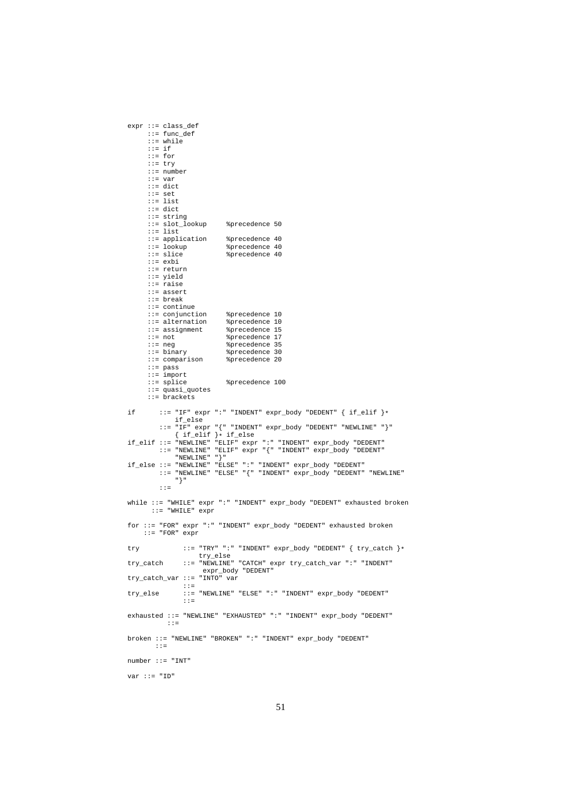```
expr ::= class_def
     ::= func_def
     ::= while
     ::= if
     ::= for
     ::= try
     ::= number
     ::= var
     ::= dict
     ::= set
     ::= list
     ::= dict
     ::= string
     ::= slot_lookup %precedence 50
     ::= list
     ::= application %precedence 40<br>::= lookup %precedence 40
     ::= lookup %precedence 40<br>::= slice %precedence 40
                            sprecedence 40
     ::= exbi
     ::= return
     ::= yield
     ::= raise
     ::= assert
     ::= break
     ::= continue
     ::= conjunction %precedence 10<br>::= alternation %precedence 10
                            %precedence 10<br>%precedence 15
     ::= assignment<br>::= not
     ::= not %precedence 17
     ::= neg %precedence 35
                            %precedence 30<br>%precedence 20
     ::= comparison
     ::= pass
     ::= import<br>::= splice
                            ::= splice %precedence 100
     ::= quasi_quotes
     ::= brackets
if ::= "IF" expr ":" "INDENT" expr_body "DEDENT" { if_elif }*
         if_else
::= "IF" expr "{" "INDENT" expr_body "DEDENT" "NEWLINE" "}"
             { if_elif }* if_else
if_elif ::= "NEWLINE" "ELIF" expr ":" "INDENT" expr_body "DEDENT"
::= "NEWLINE" "ELIF" expr "{" "INDENT" expr_body "DEDENT"
"NEWLINE" "}"
if_else ::= "NEWLINE" "ELSE" ":" "INDENT" expr_body "DEDENT"
         ::= "NEWLINE" "ELSE" "{" "INDENT" expr_body "DEDENT" "NEWLINE"
             "}"
         \cdot :
while ::= "WHILE" expr ":" "INDENT" expr_body "DEDENT" exhausted broken
       ::= "WHILE" expr
for ::= "FOR" expr ":" "INDENT" expr_body "DEDENT" exhausted broken
    ::= "FOR" expr
try ::="TRY" "::" "INDEX" expr_body "DEDENT" { try\_catch }*try_else
try_catch ::= "NEWLINE" "CATCH" expr try_catch_var ":" "INDENT"
expr_body "DEDENT"
try_catch_var ::= "INTO" var
               ::=
try_else ::= "NEWLINE" "ELSE" ":" "INDENT" expr_body "DEDENT"
               ::=
exhausted ::= "NEWLINE" "EXHAUSTED" ":" "INDENT" expr_body "DEDENT"
          ::=
broken ::= "NEWLINE" "BROKEN" ":" "INDENT" expr_body "DEDENT"
       ::=
number ::= "INT"
var ::= "ID"
```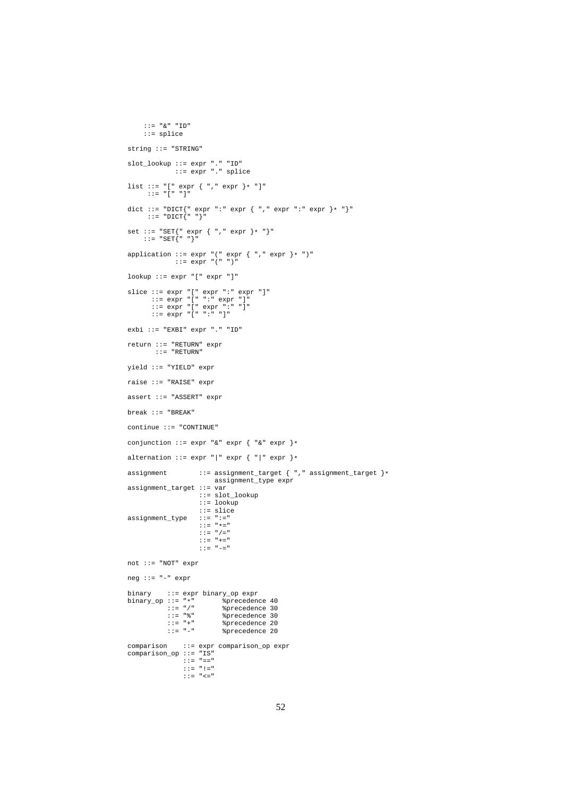```
::= "&" "ID"
    ::= splice
string ::= "STRING"
slot_lookup ::= expr "." "ID"
              ::= expr "." splice
list ::= "[" expr { "," expr }* "]"
::= "[" "]"
dict ::= "DICT{" expr ":" expr { "," expr ":" expr }* "}"
::= "DICT{" "}"
set ::= "SET{" expr { "," expr }* "}"
::= "SET{" "}"
application ::= expr "(" expr { "," expr }* ")"<br>::= expr "(" ")"
lookup ::= expr "[" expr "]"
slice ::= expr "[" expr ":" expr "]"
::= expr "[" ":" expr "]"
::= expr "[" expr ":" "]"
       ::= expr "[" ":" "]"
exbi ::= "EXBI" expr "." "ID"
return ::= "RETURN" expr
       ::= "RETURN"
yield ::= "YIELD" expr
raise ::= "RAISE" expr
assert ::= "ASSERT" expr
break ::= "BREAK"
continue ::= "CONTINUE"
conjunction ::= expr "&" expr { "&" expr }*
alternation ::= expr "|" expr { "|" expr }*
assignment \cdots ::= assignment_target { "," assignment_target }*
                        assignment_type expr
assignment_target ::= var
                     ::= slot_lookup
                     ::= lookup
                    ::= slice<br>::= ":="
assignment_type
                     ::= " * = "::= " /="
                      ::= "+="
                      ::= "-="
not ::= "NOT" expr
neg ::= "-" expr
binary ::= expr binary_op expr
binary_op ::= "*" %precedence 40
::= "/" %precedence 30
            ::= "%" %precedence 30
            ::= "+" %precedence 20
::= "-" %precedence 20
comparison ::= expr comparison_op expr
comparison_op ::= "IS"
::= "=="
::= "!="
                ::= C = C
```

```
52
```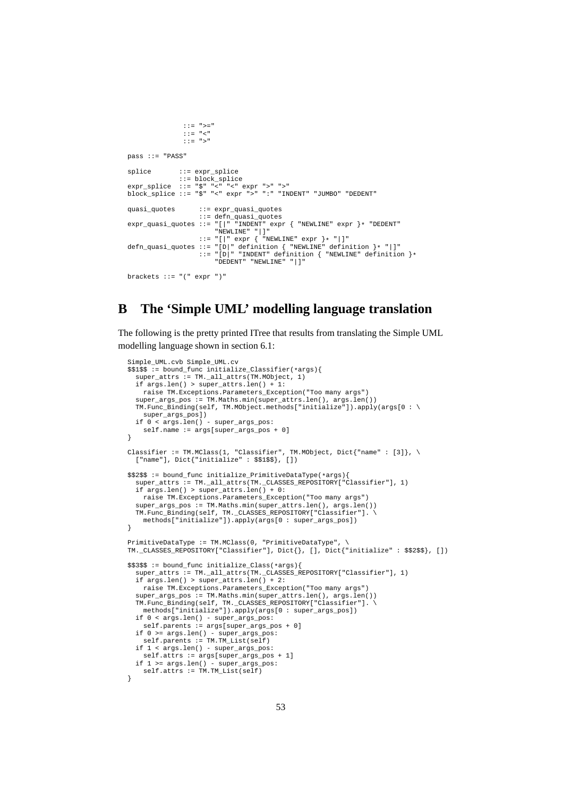```
::= ">="
                    ::= "<"
                    ::= ">"
pass ::= "PASS"
splice ::= expr_splice
                  ::= block_splice
 expr_splice ::= "$" "<" "<" expr ">" ">"
block_splice ::= "$" "<" expr ">" ":" "INDENT" "JUMBO" "DEDENT"
quasi_quotes ::= expr_quasi_quotes
                           ::= defn_quasi_quotes
 expr_quasi_quotes ::= "[|" "INDENT" expr { "NEWLINE" expr }* "DEDENT"
                              "NEWLINE" "|]"
 defn_quasi_quotes ::= "[|" expr { "NEWLINE" expr }* "|]"<br>defn_quasi_quotes ::= "[D|" definition { "NEWLINE" definition }* "|]"<br>::= "[D|" "INDENT" definition { "NEWLINE" definition }*<br>"DEDENT" "NEWLINE" "|]"
brackets ::= "(" expr ")"
```
### **B The 'Simple UML' modelling language translation**

The following is the pretty printed ITree that results from translating the Simple UML modelling language shown in section 6.1:

```
Simple_UML.cvb Simple_UML.cv
$$1$$ := bound_func initialize_Classifier(*args){
  super_attrs := TM._all_attrs(TM.MObject, 1)
  if args.len() > super_attrs.len() + 1:
    raise TM.Exceptions.Parameters_Exception("Too many args")
  super_args_pos := TM.Maths.min(super_attrs.len(), args.len())
  TM.Func_Binding(self, TM.MObject.methods["initialize"]).apply(args[0 : \setminussuper args pos])
  if 0 < arg.length() - super argsself.name := args[super_args_pos + 0]
}
Classifier := TM.MClass(1, "Classifier", TM.MObject, Dict{"name" : [3]}, \
  ["name"], Dict{"initialize" : $$1$$}, [])
$$2$$ := bound_func initialize_PrimitiveDataType(*args){
  super_attrs := TM._all_attrs(TM._CLASSES_REPOSITORY["Classifier"], 1)
  if args.len() > super_attrs.len() + 0:
   raise TM.Exceptions.Parameters_Exception("Too many args")
  super_args_pos := TM.Maths.min(super_attrs.len(), args.len())
  TM.Func_Binding(self, TM._CLASSES_REPOSITORY["Classifier"]. \
    methods["initialize"]).apply(args[0 : super_args_pos])
}
PrimitiveDataType := TM.MClass(0, "PrimitiveDataType", \
TM._CLASSES_REPOSITORY["Classifier"], Dict{}, [], Dict{"initialize" : $$2$$}, [])
$$3$$ := bound_func initialize_Class(*args){
  super_attrs := TM._all_attrs(TM._CLASSES_REPOSITORY["Classifier"], 1)
  if args.len() > super_attrs.len() + 2:
    raise TM.Exceptions.Parameters_Exception("Too many args")
  super_args_pos := TM.Maths.min(super_attrs.len(), args.len())
  TM.Func_Binding(self, TM._CLASSES_REPOSITORY["Classifier"]. \
    methods["initialize"]).apply(args[0 : super_args_pos])
  if 0 < args.len() - super_args_pos:
    self.parents := args[super_args_pos + 0]
  if 0 >= args.len() - super_args_pos:
    self.parents := TM.TM_List(self)
  if 1 < args.len() - super_args_pos:
    self.attrs := args[super_args_pos + 1]
  if 1 >= args.len() - super_args_pos:
    self.attrs := TM.TM_List(self)
}
```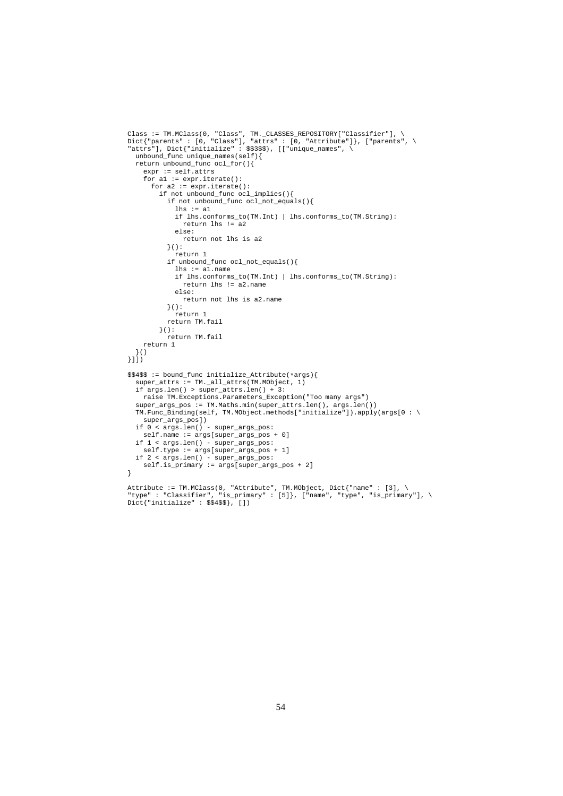```
Class := TM.MClass(0, "Class", TM._CLASSES_REPOSITORY["Classifier"], \<br>Dict{"parents" : [0, "Class"], "attrs" : [0, "Attribute"]}, ["parents", \
"attrs"], Dict{"initialize" : $$3$$}, [["unique_names", \
  unbound_func unique_names(self){
  return unbound_func ocl_for(){
     expr := self.attrs
for a1 := expr.iterate():
       for a2 := expr.iterate():
         if not unbound_func ocl_implies(){
            if not unbound_func ocl_not_equals(){
              lhs := a1if lhs.conforms_to(TM.Int) | lhs.conforms_to(TM.String):
                return lhs != a2
              else:
                return not lhs is a2
            \}():
              return 1
            if unbound_func ocl_not_equals(){
              lhs := a1.name
              if lhs.conforms_to(TM.Int) | lhs.conforms_to(TM.String):
return lhs != a2.name
            else:
return not lhs is a2.name
}():
             return 1
           return TM.fail
         }():
           return TM.fail
    return 1
  }()
|11)$$4$$ := bound_func initialize_Attribute(*args){
super_attrs := TM._all_attrs(TM.MObject, 1)
  if args.len() > super_attrs.len() + 3:
    raise TM.Exceptions.Parameters_Exception("Too many args")
  super_args_pos := TM.Maths.min(super_attrs.len(), args.len())
  TM.Func_Binding(self, TM.MObject.methods["initialize"]).apply(args[0 : \
  super_args_pos])
if 0 < args.len() - super_args_pos:
    self.name := args[super_{args} = 0]if 1 < args.len() - super_args_pos:
    self.type := args[super_args_pos + 1]
  if 2 < args.len() - super_args_pos:
self.is_primary := args[super_args_pos + 2]
}
Attribute := TM.MClass(0, "Attribute", TM.MObject, Dict{"name" : [3], \
"type" : "Classifier", "is_primary" : [5]}, ["name", "type", "is_primary"], \
Dict{"initialize" : $$4$$}, [])
```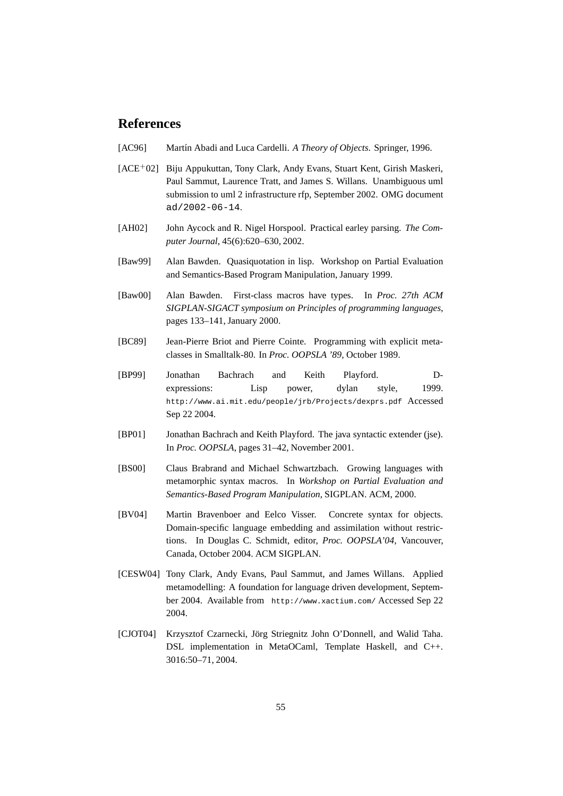### **References**

- [AC96] Martín Abadi and Luca Cardelli. *A Theory of Objects*. Springer, 1996.
- [ACE<sup>+</sup>02] Biju Appukuttan, Tony Clark, Andy Evans, Stuart Kent, Girish Maskeri, Paul Sammut, Laurence Tratt, and James S. Willans. Unambiguous uml submission to uml 2 infrastructure rfp, September 2002. OMG document ad/2002-06-14.
- [AH02] John Aycock and R. Nigel Horspool. Practical earley parsing. *The Computer Journal*, 45(6):620–630, 2002.
- [Baw99] Alan Bawden. Quasiquotation in lisp. Workshop on Partial Evaluation and Semantics-Based Program Manipulation, January 1999.
- [Baw00] Alan Bawden. First-class macros have types. In *Proc. 27th ACM SIGPLAN-SIGACT symposium on Principles of programming languages*, pages 133–141, January 2000.
- [BC89] Jean-Pierre Briot and Pierre Cointe. Programming with explicit metaclasses in Smalltalk-80. In *Proc. OOPSLA '89*, October 1989.
- [BP99] Jonathan Bachrach and Keith Playford. Dexpressions: Lisp power, dylan style, 1999. http://www.ai.mit.edu/people/jrb/Projects/dexprs.pdf Accessed Sep 22 2004.
- [BP01] Jonathan Bachrach and Keith Playford. The java syntactic extender (jse). In *Proc. OOPSLA*, pages 31–42, November 2001.
- [BS00] Claus Brabrand and Michael Schwartzbach. Growing languages with metamorphic syntax macros. In *Workshop on Partial Evaluation and Semantics-Based Program Manipulation*, SIGPLAN. ACM, 2000.
- [BV04] Martin Bravenboer and Eelco Visser. Concrete syntax for objects. Domain-specific language embedding and assimilation without restrictions. In Douglas C. Schmidt, editor, *Proc. OOPSLA'04*, Vancouver, Canada, October 2004. ACM SIGPLAN.
- [CESW04] Tony Clark, Andy Evans, Paul Sammut, and James Willans. Applied metamodelling: A foundation for language driven development, September 2004. Available from http://www.xactium.com/ Accessed Sep 22 2004.
- [CJOT04] Krzysztof Czarnecki, Jörg Striegnitz John O'Donnell, and Walid Taha. DSL implementation in MetaOCaml, Template Haskell, and C++. 3016:50–71, 2004.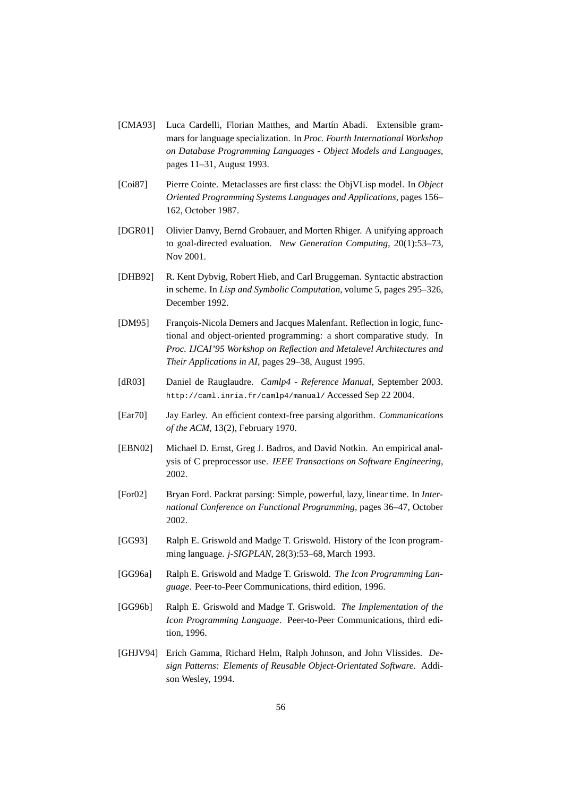- [CMA93] Luca Cardelli, Florian Matthes, and Martín Abadi. Extensible grammars for language specialization. In *Proc. Fourth International Workshop on Database Programming Languages - Object Models and Languages*, pages 11–31, August 1993.
- [Coi87] Pierre Cointe. Metaclasses are first class: the ObjVLisp model. In *Object Oriented Programming Systems Languages and Applications*, pages 156– 162, October 1987.
- [DGR01] Olivier Danvy, Bernd Grobauer, and Morten Rhiger. A unifying approach to goal-directed evaluation. *New Generation Computing*, 20(1):53–73, Nov 2001.
- [DHB92] R. Kent Dybvig, Robert Hieb, and Carl Bruggeman. Syntactic abstraction in scheme. In *Lisp and Symbolic Computation*, volume 5, pages 295–326, December 1992.
- [DM95] François-Nicola Demers and Jacques Malenfant. Reflection in logic, functional and object-oriented programming: a short comparative study. In *Proc. IJCAI'95 Workshop on Reflection and Metalevel Architectures and Their Applications in AI*, pages 29–38, August 1995.
- [dR03] Daniel de Rauglaudre. *Camlp4 - Reference Manual*, September 2003. http://caml.inria.fr/camlp4/manual/ Accessed Sep 22 2004.
- [Ear70] Jay Earley. An efficient context-free parsing algorithm. *Communications of the ACM*, 13(2), February 1970.
- [EBN02] Michael D. Ernst, Greg J. Badros, and David Notkin. An empirical analysis of C preprocessor use. *IEEE Transactions on Software Engineering*, 2002.
- [For02] Bryan Ford. Packrat parsing: Simple, powerful, lazy, linear time. In *International Conference on Functional Programming*, pages 36–47, October 2002.
- [GG93] Ralph E. Griswold and Madge T. Griswold. History of the Icon programming language. *j-SIGPLAN*, 28(3):53–68, March 1993.
- [GG96a] Ralph E. Griswold and Madge T. Griswold. *The Icon Programming Language*. Peer-to-Peer Communications, third edition, 1996.
- [GG96b] Ralph E. Griswold and Madge T. Griswold. *The Implementation of the Icon Programming Language*. Peer-to-Peer Communications, third edition, 1996.
- [GHJV94] Erich Gamma, Richard Helm, Ralph Johnson, and John Vlissides. *Design Patterns: Elements of Reusable Object-Orientated Software*. Addison Wesley, 1994.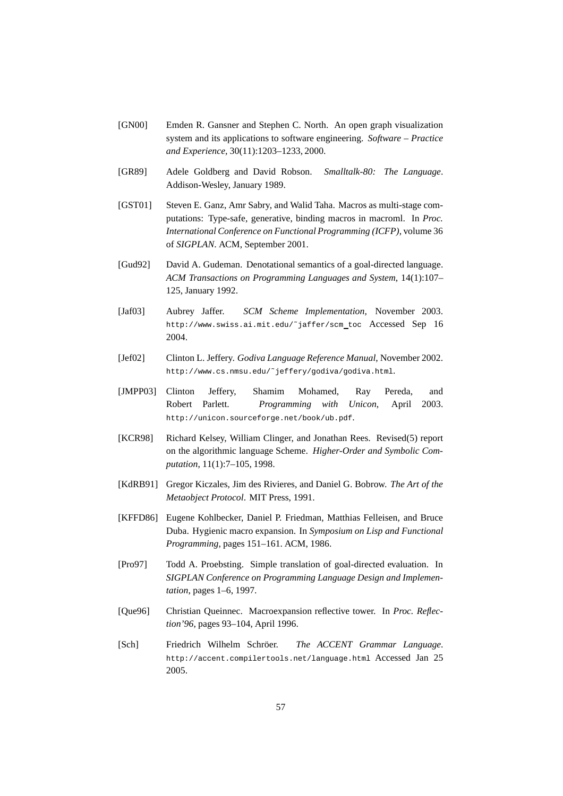- [GN00] Emden R. Gansner and Stephen C. North. An open graph visualization system and its applications to software engineering. *Software – Practice and Experience*, 30(11):1203–1233, 2000.
- [GR89] Adele Goldberg and David Robson. *Smalltalk-80: The Language*. Addison-Wesley, January 1989.
- [GST01] Steven E. Ganz, Amr Sabry, and Walid Taha. Macros as multi-stage computations: Type-safe, generative, binding macros in macroml. In *Proc. International Conference on Functional Programming (ICFP)*, volume 36 of *SIGPLAN*. ACM, September 2001.
- [Gud92] David A. Gudeman. Denotational semantics of a goal-directed language. *ACM Transactions on Programming Languages and System*, 14(1):107– 125, January 1992.
- [Jaf03] Aubrey Jaffer. *SCM Scheme Implementation*, November 2003. http://www.swiss.ai.mit.edu/~jaffer/scm\_toc Accessed Sep 16 2004.
- [Jef02] Clinton L. Jeffery. *Godiva Language Reference Manual*, November 2002. http://www.cs.nmsu.edu/˜jeffery/godiva/godiva.html.
- [JMPP03] Clinton Jeffery, Shamim Mohamed, Ray Pereda, and Robert Parlett. *Programming with Unicon*, April 2003. http://unicon.sourceforge.net/book/ub.pdf.
- [KCR98] Richard Kelsey, William Clinger, and Jonathan Rees. Revised(5) report on the algorithmic language Scheme. *Higher-Order and Symbolic Computation*, 11(1):7–105, 1998.
- [KdRB91] Gregor Kiczales, Jim des Rivieres, and Daniel G. Bobrow. *The Art of the Metaobject Protocol*. MIT Press, 1991.
- [KFFD86] Eugene Kohlbecker, Daniel P. Friedman, Matthias Felleisen, and Bruce Duba. Hygienic macro expansion. In *Symposium on Lisp and Functional Programming*, pages 151–161. ACM, 1986.
- [Pro97] Todd A. Proebsting. Simple translation of goal-directed evaluation. In *SIGPLAN Conference on Programming Language Design and Implementation*, pages 1–6, 1997.
- [Que96] Christian Queinnec. Macroexpansion reflective tower. In *Proc. Reflection'96*, pages 93–104, April 1996.
- [Sch] Friedrich Wilhelm Schroer ¨ . *The ACCENT Grammar Language*. http://accent.compilertools.net/language.html Accessed Jan 25 2005.